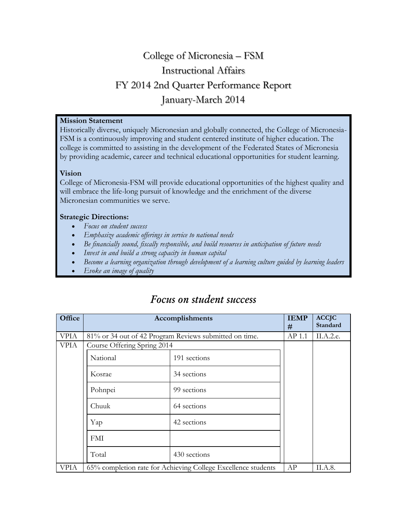# College of Micronesia – FSM Instructional Affairs FY 2014 2nd Quarter Performance Report January-March 2014

# **Mission Statement**

Historically diverse, uniquely Micronesian and globally connected, the College of Micronesia-FSM is a continuously improving and student centered institute of higher education. The college is committed to assisting in the development of the Federated States of Micronesia by providing academic, career and technical educational opportunities for student learning.

# **Vision**

College of Micronesia-FSM will provide educational opportunities of the highest quality and will embrace the life-long pursuit of knowledge and the enrichment of the diverse Micronesian communities we serve.

# **Strategic Directions:**

- *Focus on student success*
- *Emphasize academic offerings in service to national needs*
- *Be financially sound, fiscally responsible, and build resources in anticipation of future needs*
- *Invest in and build a strong capacity in human capital*
- *Become a learning organization through development of a learning culture guided by learning leaders*
- *Evoke an image of quality*

| Office      |                             | Accomplishments                                               | <b>IEMP</b><br># | <b>ACCJC</b><br><b>Standard</b> |
|-------------|-----------------------------|---------------------------------------------------------------|------------------|---------------------------------|
| <b>VPIA</b> |                             | 81% or 34 out of 42 Program Reviews submitted on time.        | AP 1.1           | II.A.2.e.                       |
| <b>VPIA</b> | Course Offering Spring 2014 |                                                               |                  |                                 |
|             | National                    | 191 sections                                                  |                  |                                 |
|             | Kosrae                      | 34 sections                                                   |                  |                                 |
|             | 99 sections<br>Pohnpei      |                                                               |                  |                                 |
|             | Chuuk                       | 64 sections                                                   |                  |                                 |
|             | 42 sections<br>Yap          |                                                               |                  |                                 |
|             | <b>FMI</b>                  |                                                               |                  |                                 |
|             | Total                       | 430 sections                                                  |                  |                                 |
| <b>VPIA</b> |                             | 65% completion rate for Achieving College Excellence students | AP               | II.A.8.                         |

# *Focus on student success*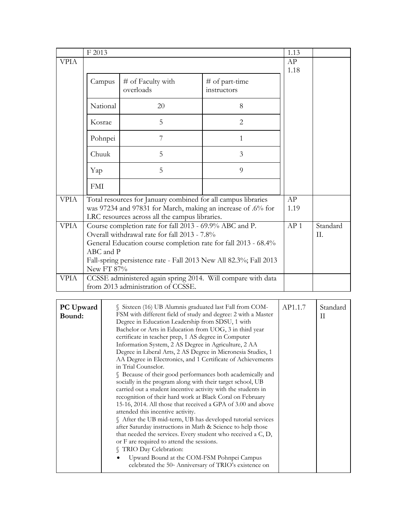|             | F 2013                                                                                                                                                                                                                                                                    |                                                                                                                               |                               | 1.13 |  |
|-------------|---------------------------------------------------------------------------------------------------------------------------------------------------------------------------------------------------------------------------------------------------------------------------|-------------------------------------------------------------------------------------------------------------------------------|-------------------------------|------|--|
| <b>VPIA</b> |                                                                                                                                                                                                                                                                           |                                                                                                                               |                               | AP   |  |
|             | Campus                                                                                                                                                                                                                                                                    | # of Faculty with<br>overloads                                                                                                | # of part-time<br>instructors | 1.18 |  |
|             | National                                                                                                                                                                                                                                                                  | 20                                                                                                                            | 8                             |      |  |
|             | Kosrae                                                                                                                                                                                                                                                                    | 5                                                                                                                             | $\overline{2}$                |      |  |
|             | Pohnpei                                                                                                                                                                                                                                                                   | 7                                                                                                                             | $\mathbf{1}$                  |      |  |
|             | Chuuk                                                                                                                                                                                                                                                                     | 5                                                                                                                             | $\overline{3}$                |      |  |
|             | Yap                                                                                                                                                                                                                                                                       | 5                                                                                                                             | 9                             |      |  |
|             | <b>FMI</b>                                                                                                                                                                                                                                                                |                                                                                                                               |                               |      |  |
| <b>VPIA</b> | LRC resources across all the campus libraries.                                                                                                                                                                                                                            | Total resources for January combined for all campus libraries<br>was 97234 and 97831 for March, making an increase of .6% for | AP<br>1.19                    |      |  |
| <b>VPIA</b> | Course completion rate for fall 2013 - 69.9% ABC and P.<br>Overall withdrawal rate for fall 2013 - 7.8%<br>General Education course completion rate for fall 2013 - 68.4%<br>ABC and P<br>Fall-spring persistence rate - Fall 2013 New All 82.3%; Fall 2013<br>New FT 87% | AP <sub>1</sub>                                                                                                               | Standard<br>II.               |      |  |
| <b>VPIA</b> |                                                                                                                                                                                                                                                                           | CCSSE administered again spring 2014. Will compare with data<br>from 2013 administration of CCSSE.                            |                               |      |  |

| Sixteen (16) UB Alumnis graduated last Fall from COM-<br><b>PC</b> Upward<br>FSM with different field of study and degree: 2 with a Master<br>Bound:<br>Degree in Education Leadership from SDSU, 1 with<br>Bachelor or Arts in Education from UOG, 3 in third year<br>certificate in teacher prep, 1 AS degree in Computer<br>Information System, 2 AS Degree in Agriculture, 2 AA<br>Degree in Liberal Arts, 2 AS Degree in Micronesia Studies, 1<br>AA Degree in Electronics, and 1 Certificate of Achievements<br>in Trial Counselor.<br>S Because of their good performances both academically and<br>socially in the program along with their target school, UB<br>carried out a student incentive activity with the students in<br>recognition of their hard work at Black Coral on February<br>15-16, 2014. All those that received a GPA of 3.00 and above<br>attended this incentive activity.<br>§ After the UB mid-term, UB has developed tutorial services<br>after Saturday instructions in Math & Science to help those<br>that needed the services. Every student who received a C, D,<br>or F are required to attend the sessions.<br><b>S</b> TRIO Day Celebration:<br>Upward Bound at the COM-FSM Pohnpei Campus<br>celebrated the 50th Anniversary of TRIO's existence on |  | AP1.1.7 | Standard<br>H |
|-----------------------------------------------------------------------------------------------------------------------------------------------------------------------------------------------------------------------------------------------------------------------------------------------------------------------------------------------------------------------------------------------------------------------------------------------------------------------------------------------------------------------------------------------------------------------------------------------------------------------------------------------------------------------------------------------------------------------------------------------------------------------------------------------------------------------------------------------------------------------------------------------------------------------------------------------------------------------------------------------------------------------------------------------------------------------------------------------------------------------------------------------------------------------------------------------------------------------------------------------------------------------------------------------|--|---------|---------------|
|-----------------------------------------------------------------------------------------------------------------------------------------------------------------------------------------------------------------------------------------------------------------------------------------------------------------------------------------------------------------------------------------------------------------------------------------------------------------------------------------------------------------------------------------------------------------------------------------------------------------------------------------------------------------------------------------------------------------------------------------------------------------------------------------------------------------------------------------------------------------------------------------------------------------------------------------------------------------------------------------------------------------------------------------------------------------------------------------------------------------------------------------------------------------------------------------------------------------------------------------------------------------------------------------------|--|---------|---------------|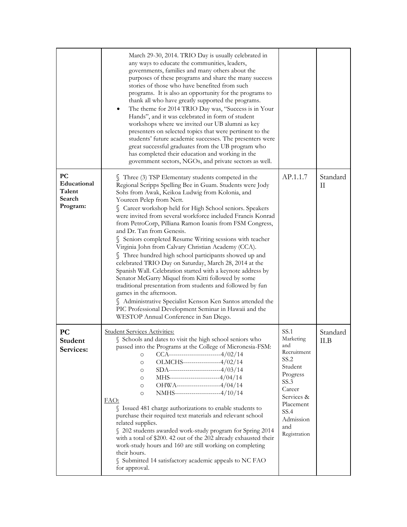|                                                          | March 29-30, 2014. TRIO Day is usually celebrated in<br>any ways to educate the communities, leaders,<br>governments, families and many others about the<br>purposes of these programs and share the many success<br>stories of those who have benefited from such<br>programs. It is also an opportunity for the programs to<br>thank all who have greatly supported the programs.<br>The theme for 2014 TRIO Day was, "Success is in Your<br>Hands", and it was celebrated in form of student<br>workshops where we invited our UB alumni as key<br>presenters on selected topics that were pertinent to the<br>students' future academic successes. The presenters were<br>great successful graduates from the UB program who<br>has completed their education and working in the<br>government sectors, NGOs, and private sectors as well.                                                                                                                                                                                   |                                                                                                                                                                 |                  |
|----------------------------------------------------------|----------------------------------------------------------------------------------------------------------------------------------------------------------------------------------------------------------------------------------------------------------------------------------------------------------------------------------------------------------------------------------------------------------------------------------------------------------------------------------------------------------------------------------------------------------------------------------------------------------------------------------------------------------------------------------------------------------------------------------------------------------------------------------------------------------------------------------------------------------------------------------------------------------------------------------------------------------------------------------------------------------------------------------|-----------------------------------------------------------------------------------------------------------------------------------------------------------------|------------------|
| <b>PC</b><br>Educational<br>Talent<br>Search<br>Program: | Three (3) TSP Elementary students competed in the<br>Regional Scripps Spelling Bee in Guam. Students were Jody<br>Sohs from Awak, Keikoa Ludwig from Kolonia, and<br>Youreen Pelep from Nett.<br>Career workshop held for High School seniors. Speakers<br>were invited from several workforce included Francis Konrad<br>from PetroCorp, Pilliana Ramon Ioanis from FSM Congress,<br>and Dr. Tan from Genesis.<br>Seniors completed Resume Writing sessions with teacher<br>Virginia John from Calvary Christian Academy (CCA).<br>Three hundred high school participants showed up and<br>celebrated TRIO Day on Saturday, March 28, 2014 at the<br>Spanish Wall. Celebration started with a keynote address by<br>Senator McGarry Miquel from Kitti followed by some<br>traditional presentation from students and followed by fun<br>games in the afternoon.<br>Administrative Specialist Kenson Ken Santos attended the<br>PIC Professional Development Seminar in Hawaii and the<br>WESTOP Annual Conference in San Diego. | AP.1.1.7                                                                                                                                                        | Standard<br>П    |
| <b>PC</b><br>Student<br>Services:                        | <b>Student Services Activities:</b><br>Schools and dates to visit the high school seniors who<br>passed into the Programs at the College of Micronesia-FSM:<br>$CCA$ ------------------------4/02/14<br>$\circ$<br>OLMCHS-----------------4/02/14<br>$\circ$<br>SDA------------------------4/03/14<br>$\circ$<br>MHS-----------------------4/04/14<br>$\circ$<br>OHWA---------------------4/04/14<br>$\circ$<br>NMHS---------------------4/10/14<br>$\circ$<br>FAO:<br>S Issued 481 charge authorizations to enable students to<br>purchase their required text materials and relevant school<br>related supplies.<br>§ 202 students awarded work-study program for Spring 2014<br>with a total of \$200. 42 out of the 202 already exhausted their<br>work-study hours and 160 are still working on completing<br>their hours.<br>Submitted 14 satisfactory academic appeals to NC FAO<br>for approval.                                                                                                                         | SS.1<br>Marketing<br>and<br>Recruitment<br>SS.2<br>Student<br>Progress<br>SS.3<br>Career<br>Services &<br>Placement<br>SS.4<br>Admission<br>and<br>Registration | Standard<br>II.B |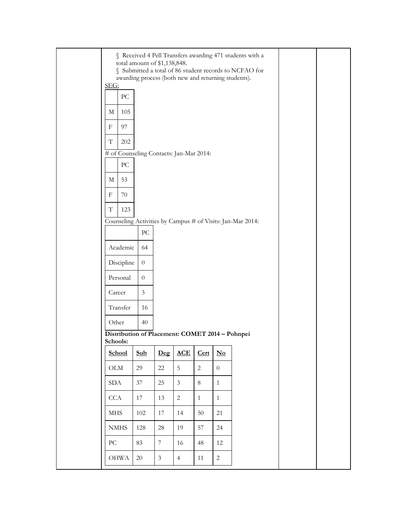| <u>SEG:</u><br>${\rm P}{\bf C}$<br>105<br>М                 | total amount of \$1,138,848.<br>awarding process (both new and returning students). |                  |                |                |                                    | § Received 4 Pell Transfers awarding 471 students with a<br>Submitted a total of 86 student records to NCFAO for |  |
|-------------------------------------------------------------|-------------------------------------------------------------------------------------|------------------|----------------|----------------|------------------------------------|------------------------------------------------------------------------------------------------------------------|--|
| 97<br>F                                                     |                                                                                     |                  |                |                |                                    |                                                                                                                  |  |
| T<br>$202\,$                                                |                                                                                     |                  |                |                |                                    |                                                                                                                  |  |
| # of Counseling Contacts: Jan-Mar 2014:                     |                                                                                     |                  |                |                |                                    |                                                                                                                  |  |
| ${\rm P}{\bf C}$                                            |                                                                                     |                  |                |                |                                    |                                                                                                                  |  |
| 53<br>М                                                     |                                                                                     |                  |                |                |                                    |                                                                                                                  |  |
| 70<br>F                                                     |                                                                                     |                  |                |                |                                    |                                                                                                                  |  |
| 123<br>T                                                    |                                                                                     |                  |                |                |                                    |                                                                                                                  |  |
|                                                             | PC                                                                                  |                  |                |                |                                    | Counseling Activities by Campus # of Visits: Jan-Mar 2014:                                                       |  |
| Academic                                                    | 64                                                                                  |                  |                |                |                                    |                                                                                                                  |  |
| Discipline                                                  | $\overline{0}$                                                                      |                  |                |                |                                    |                                                                                                                  |  |
| Personal                                                    | $\overline{0}$                                                                      |                  |                |                |                                    |                                                                                                                  |  |
|                                                             |                                                                                     |                  |                |                |                                    |                                                                                                                  |  |
| Career                                                      | $\mathfrak{Z}$                                                                      |                  |                |                |                                    |                                                                                                                  |  |
| Transfer                                                    | 16                                                                                  |                  |                |                |                                    |                                                                                                                  |  |
| Other                                                       | 40                                                                                  |                  |                |                |                                    |                                                                                                                  |  |
| Distribution of Placement: COMET 2014 - Pohnpei<br>Schools: |                                                                                     |                  |                |                |                                    |                                                                                                                  |  |
| School                                                      | Sub                                                                                 | Deg              | <b>ACE</b>     | Cert           | $\underline{\textbf{N}\textbf{o}}$ |                                                                                                                  |  |
| $\rm OLM$                                                   | 29                                                                                  | $22\,$           | $\mathbf 5$    | $\overline{2}$ | $\boldsymbol{0}$                   |                                                                                                                  |  |
| <b>SDA</b>                                                  | $37\,$                                                                              | 25               | $\mathfrak{Z}$ | $8\,$          | $\mathbf{1}$                       |                                                                                                                  |  |
| CCA                                                         | $17\,$                                                                              | 13               | $\overline{c}$ | $\mathbf{1}$   | $\mathbf{1}$                       |                                                                                                                  |  |
| <b>MHS</b>                                                  | 102                                                                                 | 17               | 14             | $50\,$         | 21                                 |                                                                                                                  |  |
| <b>NMHS</b>                                                 | 128                                                                                 | 28               | 19             | 57             | 24                                 |                                                                                                                  |  |
| ${\rm P}{\bf C}$                                            | 83                                                                                  | $\boldsymbol{7}$ | 16             | $\sqrt{48}$    | 12                                 |                                                                                                                  |  |
| <b>OHWA</b>                                                 | $20\,$                                                                              | $\mathfrak{Z}$   | $\overline{4}$ | 11             | $\mathbf{2}$                       |                                                                                                                  |  |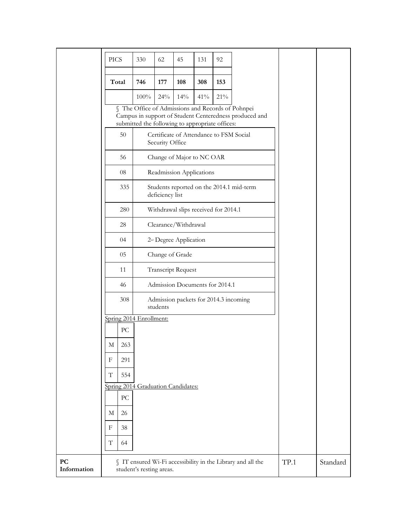|                   | <b>PICS</b>                        | 330                                                                                                  | 62              | 45                                      | 131 | 92  |                                                             |      |          |
|-------------------|------------------------------------|------------------------------------------------------------------------------------------------------|-----------------|-----------------------------------------|-----|-----|-------------------------------------------------------------|------|----------|
|                   |                                    |                                                                                                      |                 |                                         |     |     |                                                             |      |          |
|                   | Total                              | 746                                                                                                  | 177             | 108                                     | 308 | 153 |                                                             |      |          |
|                   |                                    | 100%                                                                                                 | 24%             | 14%                                     | 41% | 21% |                                                             |      |          |
|                   |                                    | § The Office of Admissions and Records of Pohnpei<br>submitted the following to appropriate offices: |                 |                                         |     |     | Campus in support of Student Centeredness produced and      |      |          |
|                   | 50                                 |                                                                                                      | Security Office | Certificate of Attendance to FSM Social |     |     |                                                             |      |          |
|                   | 56                                 |                                                                                                      |                 | Change of Major to NC OAR               |     |     |                                                             |      |          |
|                   | 08                                 |                                                                                                      |                 | Readmission Applications                |     |     |                                                             |      |          |
|                   | 335                                |                                                                                                      | deficiency list |                                         |     |     | Students reported on the 2014.1 mid-term                    |      |          |
|                   | 280                                |                                                                                                      |                 | Withdrawal slips received for 2014.1    |     |     |                                                             |      |          |
|                   | 28                                 |                                                                                                      |                 | Clearance/Withdrawal                    |     |     |                                                             |      |          |
|                   | 04                                 |                                                                                                      |                 | 2 <sup>nd</sup> Degree Application      |     |     |                                                             |      |          |
|                   | 05                                 |                                                                                                      |                 | Change of Grade                         |     |     |                                                             |      |          |
|                   | 11                                 |                                                                                                      |                 | <b>Transcript Request</b>               |     |     |                                                             |      |          |
|                   | 46                                 |                                                                                                      |                 | Admission Documents for 2014.1          |     |     |                                                             |      |          |
|                   | 308                                |                                                                                                      | students        | Admission packets for 2014.3 incoming   |     |     |                                                             |      |          |
|                   | Spring 2014 Enrollment:            |                                                                                                      |                 |                                         |     |     |                                                             |      |          |
|                   | $\rm{PC}$                          |                                                                                                      |                 |                                         |     |     |                                                             |      |          |
|                   | $\mathbf M$<br>263                 |                                                                                                      |                 |                                         |     |     |                                                             |      |          |
|                   | 291<br>F                           |                                                                                                      |                 |                                         |     |     |                                                             |      |          |
|                   | T<br>554                           |                                                                                                      |                 |                                         |     |     |                                                             |      |          |
|                   | Spring 2014 Graduation Candidates: |                                                                                                      |                 |                                         |     |     |                                                             |      |          |
|                   | $\rm{PC}$                          |                                                                                                      |                 |                                         |     |     |                                                             |      |          |
|                   | 26<br>М                            |                                                                                                      |                 |                                         |     |     |                                                             |      |          |
|                   | 38<br>F                            |                                                                                                      |                 |                                         |     |     |                                                             |      |          |
|                   | T<br>64                            |                                                                                                      |                 |                                         |     |     |                                                             |      |          |
| PC<br>Information |                                    | student's resting areas.                                                                             |                 |                                         |     |     | § IT ensured Wi-Fi accessibility in the Library and all the | TP.1 | Standard |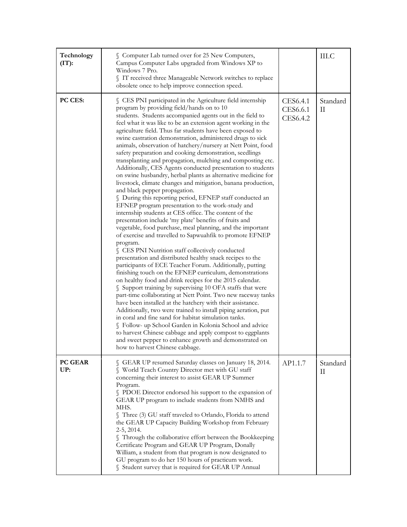| Technology<br>$(TT)$ : | § Computer Lab turned over for 25 New Computers,<br>Campus Computer Labs upgraded from Windows XP to<br>Windows 7 Pro.<br>§ IT received three Manageable Network switches to replace<br>obsolete once to help improve connection speed.                                                                                                                                                                                                                                                                                                                                                                                                                                                                                                                                                                                                                                                                                                                                                                                                                                                                                                                                                                                                                                                                                                                                                                                                                                                                                                                                                                                                                                                                                                                                                                                                                                                                                                                                                                           |                                  | III.C         |
|------------------------|-------------------------------------------------------------------------------------------------------------------------------------------------------------------------------------------------------------------------------------------------------------------------------------------------------------------------------------------------------------------------------------------------------------------------------------------------------------------------------------------------------------------------------------------------------------------------------------------------------------------------------------------------------------------------------------------------------------------------------------------------------------------------------------------------------------------------------------------------------------------------------------------------------------------------------------------------------------------------------------------------------------------------------------------------------------------------------------------------------------------------------------------------------------------------------------------------------------------------------------------------------------------------------------------------------------------------------------------------------------------------------------------------------------------------------------------------------------------------------------------------------------------------------------------------------------------------------------------------------------------------------------------------------------------------------------------------------------------------------------------------------------------------------------------------------------------------------------------------------------------------------------------------------------------------------------------------------------------------------------------------------------------|----------------------------------|---------------|
| PC CES:                | S CES PNI participated in the Agriculture field internship<br>program by providing field/hands on to 10<br>students. Students accompanied agents out in the field to<br>feel what it was like to be an extension agent working in the<br>agriculture field. Thus far students have been exposed to<br>swine castration demonstration, administered drugs to sick<br>animals, observation of hatchery/nursery at Nett Point, food<br>safety preparation and cooking demonstration, seedlings<br>transplanting and propagation, mulching and composting etc.<br>Additionally, CES Agents conducted presentation to students<br>on swine husbandry, herbal plants as alternative medicine for<br>livestock, climate changes and mitigation, banana production,<br>and black pepper propagation.<br>§ During this reporting period, EFNEP staff conducted an<br>EFNEP program presentation to the work-study and<br>internship students at CES office. The content of the<br>presentation include 'my plate' benefits of fruits and<br>vegetable, food purchase, meal planning, and the important<br>of exercise and travelled to Sapwuahfik to promote EFNEP<br>program.<br>S CES PNI Nutrition staff collectively conducted<br>presentation and distributed healthy snack recipes to the<br>participants of ECE Teacher Forum. Additionally, putting<br>finishing touch on the EFNEP curriculum, demonstrations<br>on healthy food and drink recipes for the 2015 calendar.<br>Support training by supervising 10 OFA staffs that were<br>part-time collaborating at Nett Point. Two new raceway tanks<br>have been installed at the hatchery with their assistance.<br>Additionally, two were trained to install piping aeration, put<br>in coral and fine sand for habitat simulation tanks.<br>S Follow- up School Garden in Kolonia School and advice<br>to harvest Chinese cabbage and apply compost to eggplants<br>and sweet pepper to enhance growth and demonstrated on<br>how to harvest Chinese cabbage. | CES6.4.1<br>CES6.6.1<br>CES6.4.2 | Standard<br>П |
| <b>PC GEAR</b><br>UP:  | GEAR UP resumed Saturday classes on January 18, 2014.<br>World Teach Country Director met with GU staff<br>concerning their interest to assist GEAR UP Summer<br>Program.<br>PDOE Director endorsed his support to the expansion of<br>GEAR UP program to include students from NMHS and<br>MHS.<br>Three (3) GU staff traveled to Orlando, Florida to attend<br>the GEAR UP Capacity Building Workshop from February<br>2-5, 2014.<br>Through the collaborative effort between the Bookkeeping<br>Certificate Program and GEAR UP Program, Donally<br>William, a student from that program is now designated to<br>GU program to do her 150 hours of practicum work.<br>S Student survey that is required for GEAR UP Annual                                                                                                                                                                                                                                                                                                                                                                                                                                                                                                                                                                                                                                                                                                                                                                                                                                                                                                                                                                                                                                                                                                                                                                                                                                                                                     | AP1.1.7                          | Standard<br>П |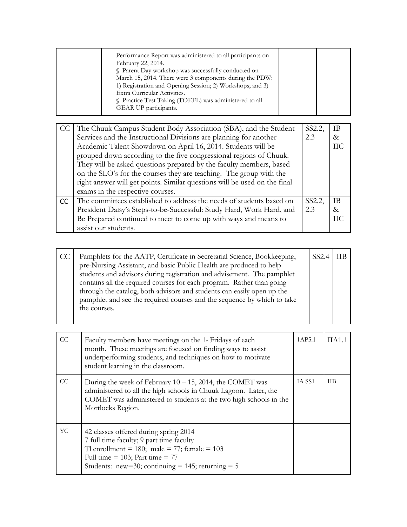| Performance Report was administered to all participants on<br>February 22, 2014.<br>§ Parent Day workshop was successfully conducted on |
|-----------------------------------------------------------------------------------------------------------------------------------------|
| March 15, 2014. There were 3 components during the PDW:<br>1) Registration and Opening Session; 2) Workshops; and 3)                    |
| Extra Curricular Activities.<br>Practice Test Taking (TOEFL) was administered to all                                                    |
| GEAR UP participants.                                                                                                                   |

|     | The Chuuk Campus Student Body Association (SBA), and the Student          | SS2.2, | -IB       |
|-----|---------------------------------------------------------------------------|--------|-----------|
|     | Services and the Instructional Divisions are planning for another         | 2.3    | &         |
|     | Academic Talent Showdown on April 16, 2014. Students will be              |        | ПC        |
|     | grouped down according to the five congressional regions of Chuuk.        |        |           |
|     | They will be asked questions prepared by the faculty members, based       |        |           |
|     | on the SLO's for the courses they are teaching. The group with the        |        |           |
|     | right answer will get points. Similar questions will be used on the final |        |           |
|     | exams in the respective courses.                                          |        |           |
| CC. | The committees established to address the needs of students based on      | SS2.2, | <b>IB</b> |
|     | President Daisy's Steps-to-be-Successful: Study Hard, Work Hard, and      | 2.3    | $\&$      |
|     | Be Prepared continued to meet to come up with ways and means to           |        | НC        |
|     | assist our students.                                                      |        |           |

| CC | Pamphlets for the AATP, Certificate in Secretarial Science, Bookkeeping,<br>pre-Nursing Assistant, and basic Public Health are produced to help<br>students and advisors during registration and advisement. The pamphlet<br>contains all the required courses for each program. Rather than going<br>through the catalog, both advisors and students can easily open up the<br>pamphlet and see the required courses and the sequence by which to take<br>the courses. | SS <sub>2.4</sub> | <b>IIB</b> |
|----|-------------------------------------------------------------------------------------------------------------------------------------------------------------------------------------------------------------------------------------------------------------------------------------------------------------------------------------------------------------------------------------------------------------------------------------------------------------------------|-------------------|------------|
|----|-------------------------------------------------------------------------------------------------------------------------------------------------------------------------------------------------------------------------------------------------------------------------------------------------------------------------------------------------------------------------------------------------------------------------------------------------------------------------|-------------------|------------|

| CC | Faculty members have meetings on the $1$ <sup><math>\scriptstyle\rm st</math></sup> Fridays of each<br>month. These meetings are focused on finding ways to assist<br>underperforming students, and techniques on how to motivate<br>student learning in the classroom. | 1AP5.1 | <b>IIA11</b> |
|----|-------------------------------------------------------------------------------------------------------------------------------------------------------------------------------------------------------------------------------------------------------------------------|--------|--------------|
| CC | During the week of February $10 - 15$ , $2014$ , the COMET was<br>administered to all the high schools in Chuuk Lagoon. Later, the<br>COMET was administered to students at the two high schools in the<br>Mortlocks Region.                                            | IA SS1 | <b>IIB</b>   |
| YC | 42 classes offered during spring 2014<br>7 full time faculty; 9 part time faculty<br>Tl enrollment = 180; male = 77; female = 103<br>Full time = $103$ ; Part time = $77$<br>Students: new=30; continuing = 145; returning = $5$                                        |        |              |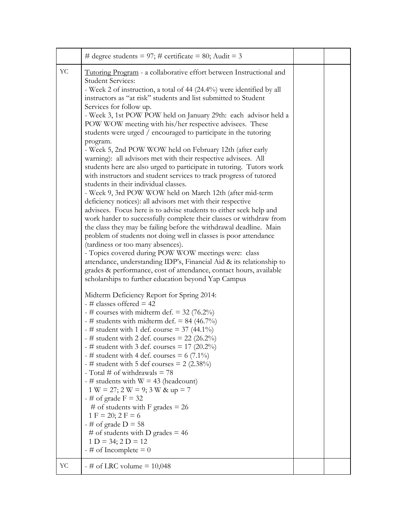|    | # degree students = 97; # certificate = 80; Audit = 3                                                                                                                                                                                                                                                                                                                                                                                                                                                                                                                                                                                                                                                                                                                                                                                                                                                                                                                                                                                                                                                                                                                                                                                                                                                                                                                                                                                                                                                                                                                                                                                                                                                                                                                                                                                                                                                                                                                                                                                                                                                                                                                                                                                                                                  |  |
|----|----------------------------------------------------------------------------------------------------------------------------------------------------------------------------------------------------------------------------------------------------------------------------------------------------------------------------------------------------------------------------------------------------------------------------------------------------------------------------------------------------------------------------------------------------------------------------------------------------------------------------------------------------------------------------------------------------------------------------------------------------------------------------------------------------------------------------------------------------------------------------------------------------------------------------------------------------------------------------------------------------------------------------------------------------------------------------------------------------------------------------------------------------------------------------------------------------------------------------------------------------------------------------------------------------------------------------------------------------------------------------------------------------------------------------------------------------------------------------------------------------------------------------------------------------------------------------------------------------------------------------------------------------------------------------------------------------------------------------------------------------------------------------------------------------------------------------------------------------------------------------------------------------------------------------------------------------------------------------------------------------------------------------------------------------------------------------------------------------------------------------------------------------------------------------------------------------------------------------------------------------------------------------------------|--|
| YC | Tutoring Program - a collaborative effort between Instructional and<br><b>Student Services:</b><br>- Week 2 of instruction, a total of 44 (24.4%) were identified by all<br>instructors as "at risk" students and list submitted to Student<br>Services for follow up.<br>- Week 3, 1st POW POW held on January 29th: each advisor held a<br>POW WOW meeting with his/her respective advisees. These<br>students were urged / encouraged to participate in the tutoring<br>program.<br>- Week 5, 2nd POW WOW held on February 12th (after early<br>warning): all advisors met with their respective advisees. All<br>students here are also urged to participate in tutoring. Tutors work<br>with instructors and student services to track progress of tutored<br>students in their individual classes.<br>- Week 9, 3rd POW WOW held on March 12th (after mid-term<br>deficiency notices): all advisors met with their respective<br>advisees. Focus here is to advise students to either seek help and<br>work harder to successfully complete their classes or withdraw from<br>the class they may be failing before the withdrawal deadline. Main<br>problem of students not doing well in classes is poor attendance<br>(tardiness or too many absences).<br>- Topics covered during POW WOW meetings were: class<br>attendance, understanding IDP's, Financial Aid & its relationship to<br>grades & performance, cost of attendance, contact hours, available<br>scholarships to further education beyond Yap Campus<br>Midterm Deficiency Report for Spring 2014:<br>$-$ # classes offered = 42<br>- # courses with midterm def. = $32$ (76.2%)<br>- # students with midterm def. = 84 (46.7%)<br>- # student with 1 def. course = $37(44.1\%)$<br>- # student with 2 def. courses = $22$ (26.2%)<br>- # student with 3 def. courses = $17$ (20.2%)<br>- # student with 4 def. courses = $6(7.1\%)$<br>- # student with 5 def courses = $2(2.38\%)$<br>- Total # of withdrawals $= 78$<br>- # students with $W = 43$ (headcount)<br>$1 W = 27; 2 W = 9; 3 W & up = 7$<br>$-$ # of grade F = 32<br># of students with F grades = $26$<br>$1 F = 20; 2 F = 6$<br>$-$ # of grade D = 58<br># of students with D grades = $46$<br>$1 D = 34; 2 D = 12$<br>$-$ # of Incomplete = 0 |  |
| YC | $-$ # of LRC volume = 10,048                                                                                                                                                                                                                                                                                                                                                                                                                                                                                                                                                                                                                                                                                                                                                                                                                                                                                                                                                                                                                                                                                                                                                                                                                                                                                                                                                                                                                                                                                                                                                                                                                                                                                                                                                                                                                                                                                                                                                                                                                                                                                                                                                                                                                                                           |  |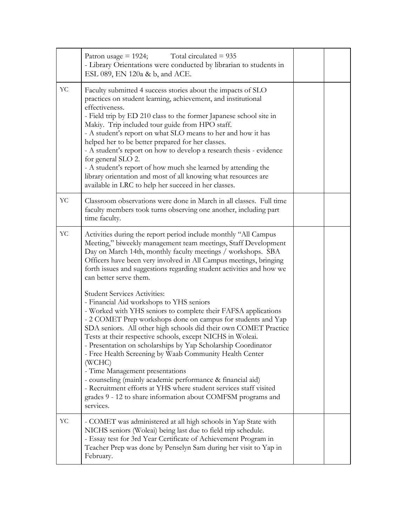|    | Patron usage $= 1924$ ;<br>Total circulated $= 935$<br>- Library Orientations were conducted by librarian to students in<br>ESL 089, EN 120a & b, and ACE.                                                                                                                                                                                                                                                                                                                                                                                                                                                                                                                                                                                                                                                                                                                                                                                                                                                                                                                                                             |  |
|----|------------------------------------------------------------------------------------------------------------------------------------------------------------------------------------------------------------------------------------------------------------------------------------------------------------------------------------------------------------------------------------------------------------------------------------------------------------------------------------------------------------------------------------------------------------------------------------------------------------------------------------------------------------------------------------------------------------------------------------------------------------------------------------------------------------------------------------------------------------------------------------------------------------------------------------------------------------------------------------------------------------------------------------------------------------------------------------------------------------------------|--|
| YC | Faculty submitted 4 success stories about the impacts of SLO<br>practices on student learning, achievement, and institutional<br>effectiveness.<br>- Field trip by ED 210 class to the former Japanese school site in<br>Makiy. Trip included tour guide from HPO staff.<br>- A student's report on what SLO means to her and how it has<br>helped her to be better prepared for her classes.<br>- A student's report on how to develop a research thesis - evidence<br>for general SLO 2.<br>- A student's report of how much she learned by attending the<br>library orientation and most of all knowing what resources are<br>available in LRC to help her succeed in her classes.                                                                                                                                                                                                                                                                                                                                                                                                                                  |  |
| YC | Classroom observations were done in March in all classes. Full time<br>faculty members took turns observing one another, including part<br>time faculty.                                                                                                                                                                                                                                                                                                                                                                                                                                                                                                                                                                                                                                                                                                                                                                                                                                                                                                                                                               |  |
| YC | Activities during the report period include monthly "All Campus<br>Meeting," biweekly management team meetings, Staff Development<br>Day on March 14th, monthly faculty meetings / workshops. SBA<br>Officers have been very involved in All Campus meetings, bringing<br>forth issues and suggestions regarding student activities and how we<br>can better serve them.<br><b>Student Services Activities:</b><br>- Financial Aid workshops to YHS seniors<br>- Worked with YHS seniors to complete their FAFSA applications<br>- 2 COMET Prep workshops done on campus for students and Yap<br>SDA seniors. All other high schools did their own COMET Practice<br>Tests at their respective schools, except NICHS in Woleai.<br>Presentation on scholarships by Yap Scholarship Coordinator<br>- Free Health Screening by Waab Community Health Center<br>(WCHC)<br>- Time Management presentations<br>- counseling (mainly academic performance & financial aid)<br>- Recruitment efforts at YHS where student services staff visited<br>grades 9 - 12 to share information about COMFSM programs and<br>services. |  |
| YC | - COMET was administered at all high schools in Yap State with<br>NICHS seniors (Woleai) being last due to field trip schedule.<br>- Essay test for 3rd Year Certificate of Achievement Program in<br>Teacher Prep was done by Penselyn Sam during her visit to Yap in<br>February.                                                                                                                                                                                                                                                                                                                                                                                                                                                                                                                                                                                                                                                                                                                                                                                                                                    |  |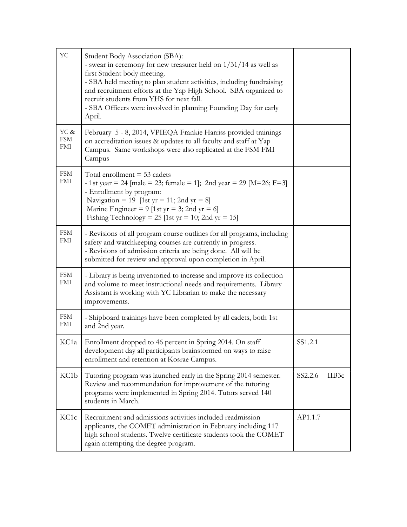| YC                                      | Student Body Association (SBA):<br>- swear in ceremony for new treasurer held on 1/31/14 as well as<br>first Student body meeting.<br>- SBA held meeting to plan student activities, including fundraising<br>and recruitment efforts at the Yap High School. SBA organized to<br>recruit students from YHS for next fall.<br>- SBA Officers were involved in planning Founding Day for early<br>April. |         |       |
|-----------------------------------------|---------------------------------------------------------------------------------------------------------------------------------------------------------------------------------------------------------------------------------------------------------------------------------------------------------------------------------------------------------------------------------------------------------|---------|-------|
| YC &<br><b>FSM</b><br>FMI               | February 5 - 8, 2014, VPIEQA Frankie Harriss provided trainings<br>on accreditation issues & updates to all faculty and staff at Yap<br>Campus. Same workshops were also replicated at the FSM FMI<br>Campus                                                                                                                                                                                            |         |       |
| $\ensuremath{\text{FSM}}$<br><b>FMI</b> | Total enrollment $=$ 53 cadets<br>- 1st year = 24 [male = 23; female = 1]; 2nd year = 29 [M=26; F=3]<br>- Enrollment by program:<br>Navigation = 19 [1st yr = 11; 2nd yr = 8]<br>Marine Engineer = 9 [1st yr = 3; 2nd yr = 6]<br>Fishing Technology = 25 [1st yr = 10; 2nd yr = 15]                                                                                                                     |         |       |
| <b>FSM</b><br>FMI                       | - Revisions of all program course outlines for all programs, including<br>safety and watchkeeping courses are currently in progress.<br>- Revisions of admission criteria are being done. All will be<br>submitted for review and approval upon completion in April.                                                                                                                                    |         |       |
| <b>FSM</b><br>FMI                       | - Library is being inventoried to increase and improve its collection<br>and volume to meet instructional needs and requirements. Library<br>Assistant is working with YC Librarian to make the necessary<br>improvements.                                                                                                                                                                              |         |       |
| <b>FSM</b><br>FMI                       | - Shipboard trainings have been completed by all cadets, both 1st<br>and 2nd year.                                                                                                                                                                                                                                                                                                                      |         |       |
| KC <sub>1</sub> a                       | Enrollment dropped to 46 percent in Spring 2014. On staff<br>development day all participants brainstormed on ways to raise<br>enrollment and retention at Kosrae Campus.                                                                                                                                                                                                                               | SS1.2.1 |       |
| KC1b                                    | Tutoring program was launched early in the Spring 2014 semester.<br>Review and recommendation for improvement of the tutoring<br>programs were implemented in Spring 2014. Tutors served 140<br>students in March.                                                                                                                                                                                      | SS2.2.6 | IIB3c |
| KC <sub>1</sub> c                       | Recruitment and admissions activities included readmission<br>applicants, the COMET administration in February including 117<br>high school students. Twelve certificate students took the COMET<br>again attempting the degree program.                                                                                                                                                                | AP1.1.7 |       |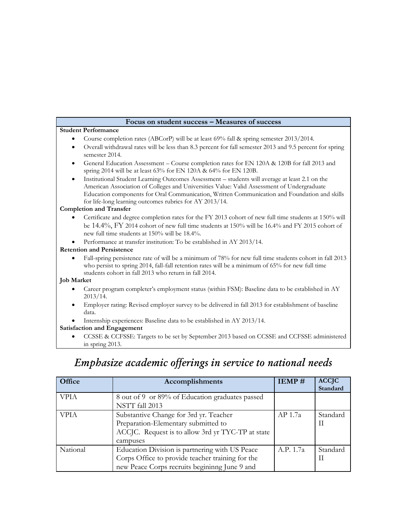| Focus on student success - Measures of success                                                                                                                                                                                                                                                                                                                       |
|----------------------------------------------------------------------------------------------------------------------------------------------------------------------------------------------------------------------------------------------------------------------------------------------------------------------------------------------------------------------|
| <b>Student Performance</b>                                                                                                                                                                                                                                                                                                                                           |
| Course completion rates (ABCorP) will be at least 69% fall & spring semester 2013/2014.                                                                                                                                                                                                                                                                              |
| Overall withdrawal rates will be less than 8.3 percent for fall semester 2013 and 9.5 percent for spring<br>$\bullet$<br>semester 2014.                                                                                                                                                                                                                              |
| General Education Assessment – Course completion rates for EN 120A & 120B for fall 2013 and<br>$\bullet$<br>spring 2014 will be at least 63% for EN 120A & 64% for EN 120B.                                                                                                                                                                                          |
| Institutional Student Learning Outcomes Assessment – students will average at least 2.1 on the<br>$\bullet$<br>American Association of Colleges and Universities Value: Valid Assessment of Undergraduate<br>Education components for Oral Communication, Written Communication and Foundation and skills<br>for life-long learning outcomes rubrics for AY 2013/14. |
| <b>Completion and Transfer</b>                                                                                                                                                                                                                                                                                                                                       |
| Certificate and degree completion rates for the FY 2013 cohort of new full time students at 150% will<br>be 14.4%, FY 2014 cohort of new full time students at 150% will be 16.4% and FY 2015 cohort of<br>new full time students at 150% will be 18.4%.                                                                                                             |
| Performance at transfer institution: To be established in AY 2013/14.                                                                                                                                                                                                                                                                                                |
| <b>Retention and Persistence</b>                                                                                                                                                                                                                                                                                                                                     |
| Fall-spring persistence rate of will be a minimum of 78% for new full time students cohort in fall 2013<br>who persist to spring 2014, fall-fall retention rates will be a minimum of 65% for new full time<br>students cohort in fall 2013 who return in fall 2014.                                                                                                 |
| <b>Job Market</b>                                                                                                                                                                                                                                                                                                                                                    |
| Career program completer's employment status (within FSM): Baseline data to be established in AY<br>2013/14.                                                                                                                                                                                                                                                         |
| Employer rating: Revised employer survey to be delivered in fall 2013 for establishment of baseline<br>$\bullet$<br>data.                                                                                                                                                                                                                                            |
| Internship experiences: Baseline data to be established in AY 2013/14.                                                                                                                                                                                                                                                                                               |
| <b>Satisfaction and Engagement</b>                                                                                                                                                                                                                                                                                                                                   |
| CCSSE & CCFSSE: Targets to be set by September 2013 based on CCSSE and CCFSSE administered<br>in spring 2013.                                                                                                                                                                                                                                                        |
| Emphasize academic efferings in service to national needs                                                                                                                                                                                                                                                                                                            |

# *Emphasize academic offerings in service to national needs*

| Office      | Accomplishments                                   | IEMP#     | <b>ACCJC</b> |
|-------------|---------------------------------------------------|-----------|--------------|
|             |                                                   |           | Standard     |
| <b>VPIA</b> | 8 out of 9 or 89% of Education graduates passed   |           |              |
|             | NSTT fall 2013                                    |           |              |
| <b>VPIA</b> | Substantive Change for 3rd yr. Teacher            | AP 1.7a   | Standard     |
|             | Preparation-Elementary submitted to               |           | Н            |
|             | ACCJC. Request is to allow 3rd yr TYC-TP at state |           |              |
|             | campuses                                          |           |              |
| National    | Education Division is partnering with US Peace    | A.P. 1.7a | Standard     |
|             | Corps Office to provide teacher training for the  |           | Н            |
|             | new Peace Corps recruits begining June 9 and      |           |              |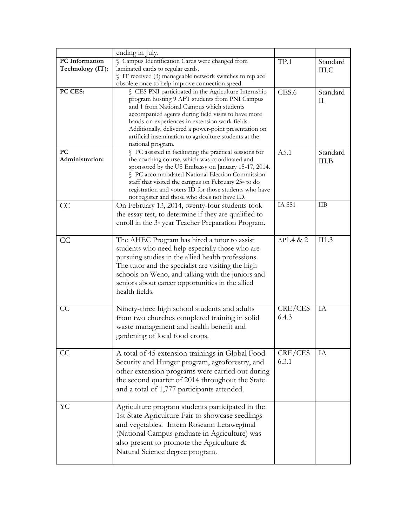|                       | ending in July.                                                  |           |          |
|-----------------------|------------------------------------------------------------------|-----------|----------|
| <b>PC</b> Information | § Campus Identification Cards were changed from                  | TP.1      | Standard |
| Technology (IT):      | laminated cards to regular cards.                                |           | III.C    |
|                       | IT received (3) manageable network switches to replace           |           |          |
|                       | obsolete once to help improve connection speed.                  |           |          |
| PC CES:               | CES PNI participated in the Agriculture Internship               | CES.6     | Standard |
|                       | program hosting 9 AFT students from PNI Campus                   |           | H        |
|                       | and 1 from National Campus which students                        |           |          |
|                       | accompanied agents during field visits to have more              |           |          |
|                       | hands-on experiences in extension work fields.                   |           |          |
|                       | Additionally, delivered a power-point presentation on            |           |          |
|                       | artificial insemination to agriculture students at the           |           |          |
|                       | national program.                                                |           |          |
| PC                    | § PC assisted in facilitating the practical sessions for         | A5.1      | Standard |
| Administration:       | the coaching course, which was coordinated and                   |           | III.B    |
|                       | sponsored by the US Embassy on January 15-17, 2014.              |           |          |
|                       | § PC accommodated National Election Commission                   |           |          |
|                       | staff that visited the campus on February 25 <sup>th</sup> to do |           |          |
|                       | registration and voters ID for those students who have           |           |          |
|                       | not register and those who does not have ID.                     |           |          |
| CC                    | On February 13, 2014, twenty-four students took                  | IA SS1    | ШB       |
|                       | the essay test, to determine if they are qualified to            |           |          |
|                       | enroll in the 3 <sup>-1</sup> year Teacher Preparation Program.  |           |          |
|                       |                                                                  |           |          |
| CC                    | The AHEC Program has hired a tutor to assist                     | AP1.4 & 2 | II1.3    |
|                       |                                                                  |           |          |
|                       | students who need help especially those who are                  |           |          |
|                       | pursuing studies in the allied health professions.               |           |          |
|                       | The tutor and the specialist are visiting the high               |           |          |
|                       | schools on Weno, and talking with the juniors and                |           |          |
|                       | seniors about career opportunities in the allied                 |           |          |
|                       | health fields.                                                   |           |          |
|                       |                                                                  |           |          |
| CC                    | Ninety-three high school students and adults                     | CRE/CES   | IA       |
|                       | from two churches completed training in solid                    | 6.4.3     |          |
|                       | waste management and health benefit and                          |           |          |
|                       |                                                                  |           |          |
|                       | gardening of local food crops.                                   |           |          |
|                       |                                                                  |           |          |
| CC                    | A total of 45 extension trainings in Global Food                 | CRE/CES   | IA       |
|                       | Security and Hunger program, agroforestry, and                   | 6.3.1     |          |
|                       | other extension programs were carried out during                 |           |          |
|                       | the second quarter of 2014 throughout the State                  |           |          |
|                       | and a total of 1,777 participants attended.                      |           |          |
|                       |                                                                  |           |          |
| YC                    | Agriculture program students participated in the                 |           |          |
|                       |                                                                  |           |          |
|                       | 1st State Agriculture Fair to showcase seedlings                 |           |          |
|                       | and vegetables. Intern Roseann Letawegimal                       |           |          |
|                       | (National Campus graduate in Agriculture) was                    |           |          |
|                       | also present to promote the Agriculture &                        |           |          |
|                       | Natural Science degree program.                                  |           |          |
|                       |                                                                  |           |          |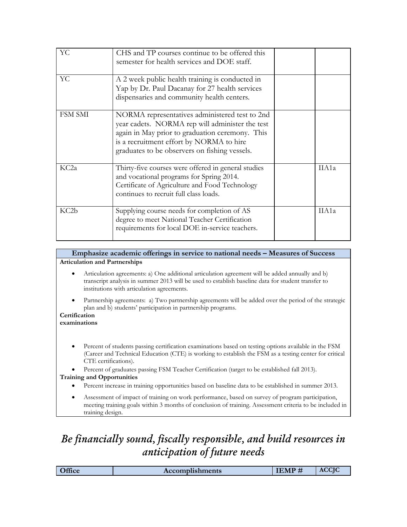| YC                | CHS and TP courses continue to be offered this<br>semester for health services and DOE staff.                                                                                                                                                     |       |
|-------------------|---------------------------------------------------------------------------------------------------------------------------------------------------------------------------------------------------------------------------------------------------|-------|
| YC                | A 2 week public health training is conducted in<br>Yap by Dr. Paul Dacanay for 27 health services<br>dispensaries and community health centers.                                                                                                   |       |
| FSM SMI           | NORMA representatives administered test to 2nd<br>year cadets. NORMA rep will administer the test<br>again in May prior to graduation ceremony. This<br>is a recruitment effort by NORMA to hire<br>graduates to be observers on fishing vessels. |       |
| KC <sub>2a</sub>  | Thirty-five courses were offered in general studies<br>and vocational programs for Spring 2014.<br>Certificate of Agriculture and Food Technology<br>continues to recruit full class loads.                                                       | IIA1a |
| KC <sub>2</sub> b | Supplying course needs for completion of AS<br>degree to meet National Teacher Certification<br>requirements for local DOE in-service teachers.                                                                                                   | IIA1a |

**Emphasize academic offerings in service to national needs – Measures of Success Articulation and Partnerships**

- Articulation agreements: a) One additional articulation agreement will be added annually and b) transcript analysis in summer 2013 will be used to establish baseline data for student transfer to institutions with articulation agreements.
- Partnership agreements: a) Two partnership agreements will be added over the period of the strategic plan and b) students' participation in partnership programs.

#### **Certification examinations**

 Percent of students passing certification examinations based on testing options available in the FSM (Career and Technical Education (CTE) is working to establish the FSM as a testing center for critical CTE certifications).

 Percent of graduates passing FSM Teacher Certification (target to be established fall 2013). **Training and Opportunities**

- Percent increase in training opportunities based on baseline data to be established in summer 2013.
- Assessment of impact of training on work performance, based on survey of program participation, meeting training goals within 3 months of conclusion of training. Assessment criteria to be included in training design.

# *Be financially sound, fiscally responsible, and build resources in anticipation of future needs*

|  | Office | <b>Accomplishments</b> | TIMD<br>IEMI | $\alpha$ $\alpha$<br>ACCIO |
|--|--------|------------------------|--------------|----------------------------|
|--|--------|------------------------|--------------|----------------------------|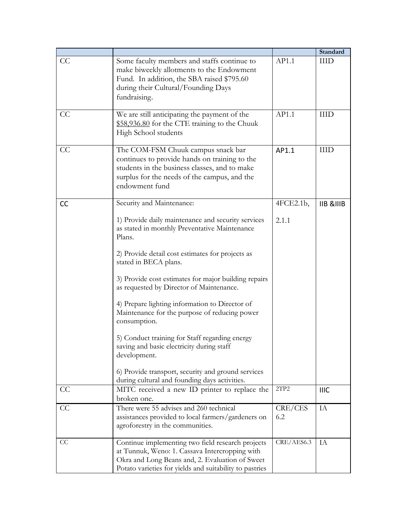|           |                                                         |            | Standard             |
|-----------|---------------------------------------------------------|------------|----------------------|
| CC        | Some faculty members and staffs continue to             | AP1.1      | $\rm{HID}$           |
|           | make biweekly allotments to the Endowment               |            |                      |
|           | Fund. In addition, the SBA raised \$795.60              |            |                      |
|           | during their Cultural/Founding Days                     |            |                      |
|           | fundraising.                                            |            |                      |
|           |                                                         |            |                      |
| CC        | We are still anticipating the payment of the            | AP1.1      | <b>IIID</b>          |
|           | \$58,936.80 for the CTE training to the Chuuk           |            |                      |
|           | High School students                                    |            |                      |
| CC        | The COM-FSM Chuuk campus snack bar                      | AP1.1      | <b>IIID</b>          |
|           | continues to provide hands on training to the           |            |                      |
|           | students in the business classes, and to make           |            |                      |
|           | surplus for the needs of the campus, and the            |            |                      |
|           | endowment fund                                          |            |                      |
|           |                                                         |            |                      |
| <b>CC</b> | Security and Maintenance:                               | 4FCE2.1b,  | <b>IIB &amp;IIIB</b> |
|           |                                                         |            |                      |
|           | 1) Provide daily maintenance and security services      | 2.1.1      |                      |
|           | as stated in monthly Preventative Maintenance<br>Plans. |            |                      |
|           |                                                         |            |                      |
|           | 2) Provide detail cost estimates for projects as        |            |                      |
|           | stated in BECA plans.                                   |            |                      |
|           |                                                         |            |                      |
|           | 3) Provide cost estimates for major building repairs    |            |                      |
|           | as requested by Director of Maintenance.                |            |                      |
|           | 4) Prepare lighting information to Director of          |            |                      |
|           | Maintenance for the purpose of reducing power           |            |                      |
|           | consumption.                                            |            |                      |
|           |                                                         |            |                      |
|           | 5) Conduct training for Staff regarding energy          |            |                      |
|           | saving and basic electricity during staff               |            |                      |
|           | development.                                            |            |                      |
|           | 6) Provide transport, security and ground services      |            |                      |
|           | during cultural and founding days activities.           |            |                      |
| CC        | MITC received a new ID printer to replace the           | 2TP2       | <b>IIIC</b>          |
|           | broken one.                                             |            |                      |
| CC        | There were 55 advises and 260 technical                 | CRE/CES    | IA                   |
|           | assistances provided to local farmers/gardeners on      | 6.2        |                      |
|           | agroforestry in the communities.                        |            |                      |
|           |                                                         |            |                      |
| CC        | Continue implementing two field research projects       | CRE/AES6.3 | IA                   |
|           | at Tunnuk, Weno: 1. Cassava Intercropping with          |            |                      |
|           | Okra and Long Beans and, 2. Evaluation of Sweet         |            |                      |
|           | Potato varieties for yields and suitability to pastries |            |                      |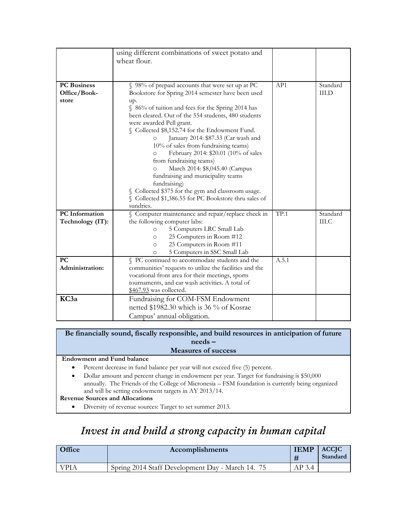|                                             | using different combinations of sweet potato and<br>wheat flour.                                                                                                                                                                                                                                                                                                                                                                                                                                                                                                |       |                          |
|---------------------------------------------|-----------------------------------------------------------------------------------------------------------------------------------------------------------------------------------------------------------------------------------------------------------------------------------------------------------------------------------------------------------------------------------------------------------------------------------------------------------------------------------------------------------------------------------------------------------------|-------|--------------------------|
|                                             |                                                                                                                                                                                                                                                                                                                                                                                                                                                                                                                                                                 |       |                          |
| <b>PC</b> Business<br>Office/Book-<br>store | § 98% of prepaid accounts that were set up at PC<br>Bookstore for Spring 2014 semester have been used<br>up.<br>§ 86% of tuition and fees for the Spring 2014 has<br>been cleared. Out of the 554 students, 480 students<br>were awarded Pell grant.<br>§ Collected \$8,152.74 for the Endowment Fund.<br>January 2014: \$87.33 (Car wash and<br>O<br>10% of sales from fundraising teams)<br>February 2014: \$20.01 (10% of sales<br>O<br>from fundraising teams)<br>March 2014: \$8,045.40 (Campus<br>O<br>fundraising and municipality teams<br>fundraising) | AP1   | Standard<br><b>III.D</b> |
|                                             | § Collected \$375 for the gym and classroom usage.<br>§ Collected \$1,386.55 for PC Bookstore thru sales of<br>sundries.                                                                                                                                                                                                                                                                                                                                                                                                                                        |       |                          |
| <b>PC</b> Information<br>Technology (IT):   | § Computer maintenance and repair/replace check in<br>the following computer labs:<br>5 Computers LRC Small Lab<br>$\circ$<br>25 Computers in Room #12<br>$\circ$<br>25 Computers in Room #11<br>$\circ$<br>5 Computers in SSC Small Lab<br>O                                                                                                                                                                                                                                                                                                                   | TP.1  | Standard<br>III.C        |
| <b>PC</b><br>Administration:                | § PC continued to accommodate students and the<br>communities' requests to utilize the facilities and the<br>vocational front area for their meetings, sports<br>tournaments, and car wash activities. A total of<br>\$467.93 was collected.                                                                                                                                                                                                                                                                                                                    | A.5.1 |                          |
| KC3a                                        | Fundraising for COM-FSM Endowment<br>netted \$1982.30 which is 36 % of Kosrae<br>Campus' annual obligation.                                                                                                                                                                                                                                                                                                                                                                                                                                                     |       |                          |

## **Be financially sound, fiscally responsible, and build resources in anticipation of future needs – Measures of success**

## **Endowment and Fund balance**

- Percent decrease in fund balance per year will not exceed five (5) percent.
- Dollar amount and percent change in endowment per year. Target for fundraising is \$50,000 annually. The Friends of the College of Micronesia – FSM foundation is currently being organized and will be setting endowment targets in AY 2013/14.

### **Revenue Sources and Allocations**

• Diversity of revenue sources: Target to set summer 2013.

# *Invest in and build a strong capacity in human capital*

| Office      | <b>Accomplishments</b>                           | <b>IEMP</b> | <b>ACCIC</b><br>Standard |
|-------------|--------------------------------------------------|-------------|--------------------------|
| <b>VPIA</b> | Spring 2014 Staff Development Day - March 14. 75 | AP 3.4      |                          |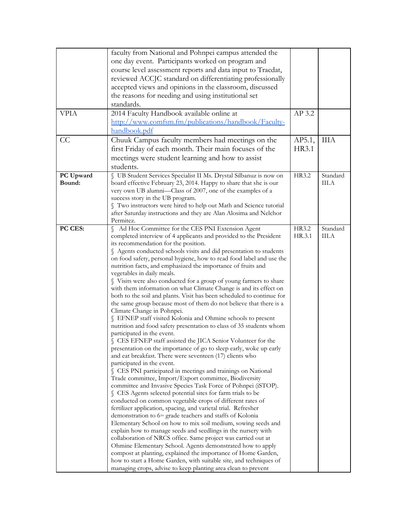|             | faculty from National and Pohnpei campus attended the                                                                   |        |          |
|-------------|-------------------------------------------------------------------------------------------------------------------------|--------|----------|
|             | one day event. Participants worked on program and                                                                       |        |          |
|             | course level assessment reports and data input to Tracdat,                                                              |        |          |
|             | reviewed ACCJC standard on differentiating professionally                                                               |        |          |
|             |                                                                                                                         |        |          |
|             | accepted views and opinions in the classroom, discussed                                                                 |        |          |
|             | the reasons for needing and using institutional set                                                                     |        |          |
|             | standards.                                                                                                              |        |          |
| <b>VPIA</b> | 2014 Faculty Handbook available online at                                                                               | AP 3.2 |          |
|             | http://www.comfsm.fm/publications/handbook/Faculty-                                                                     |        |          |
|             | handbook.pdf                                                                                                            |        |          |
| CC          | Chuuk Campus faculty members had meetings on the                                                                        | AP5.1, | ШA       |
|             | first Friday of each month. Their main focuses of the                                                                   | HR3.1  |          |
|             |                                                                                                                         |        |          |
|             | meetings were student learning and how to assist                                                                        |        |          |
|             | students.                                                                                                               |        |          |
| PC Upward   | § UB Student Services Specialist II Ms. Drystal Silbanuz is now on                                                      | HR3.2  | Standard |
| Bound:      | board effective February 23, 2014. Happy to share that she is our                                                       |        | III.A    |
|             | very own UB alumni-Class of 2007, one of the examples of a                                                              |        |          |
|             | success story in the UB program.                                                                                        |        |          |
|             | Two instructors were hired to help out Math and Science tutorial                                                        |        |          |
|             | after Saturday instructions and they are Alan Alosima and Nelchor<br>Permitez.                                          |        |          |
| PC CES:     |                                                                                                                         | HR3.2  | Standard |
|             | Ad Hoc Committee for the CES PNI Extension Agent<br>completed interview of 4 applicants and provided to the President   | HR.3.1 | III.A    |
|             | its recommendation for the position.                                                                                    |        |          |
|             | § Agents conducted schools visits and did presentation to students                                                      |        |          |
|             | on food safety, personal hygiene, how to read food label and use the                                                    |        |          |
|             | nutrition facts, and emphasized the importance of fruits and                                                            |        |          |
|             | vegetables in daily meals.                                                                                              |        |          |
|             | Visits were also conducted for a group of young farmers to share                                                        |        |          |
|             | with them information on what Climate Change is and its effect on                                                       |        |          |
|             | both to the soil and plants. Visit has been scheduled to continue for                                                   |        |          |
|             | the same group because most of them do not believe that there is a                                                      |        |          |
|             | Climate Change in Pohnpei.                                                                                              |        |          |
|             | § EFNEP staff visited Kolonia and Ohmine schools to present                                                             |        |          |
|             | nutrition and food safety presentation to class of 35 students whom                                                     |        |          |
|             | participated in the event.                                                                                              |        |          |
|             | S CES EFNEP staff assisted the JICA Senior Volunteer for the                                                            |        |          |
|             | presentation on the importance of go to sleep early, woke up early                                                      |        |          |
|             | and eat breakfast. There were seventeen (17) clients who                                                                |        |          |
|             | participated in the event.                                                                                              |        |          |
|             | CES PNI participated in meetings and trainings on National                                                              |        |          |
|             | Trade committee, Import/Export committee, Biodiversity<br>committee and Invasive Species Task Force of Pohnpei (iSTOP). |        |          |
|             | S CES Agents selected potential sites for farm trials to be                                                             |        |          |
|             | conducted on common vegetable crops of different rates of                                                               |        |          |
|             | fertilizer application, spacing, and varietal trial. Refresher                                                          |        |          |
|             | demonstration to 6TH grade teachers and staffs of Kolonia                                                               |        |          |
|             | Elementary School on how to mix soil medium, sowing seeds and                                                           |        |          |
|             | explain how to manage seeds and seedlings in the nursery with                                                           |        |          |
|             | collaboration of NRCS office. Same project was carried out at                                                           |        |          |
|             | Ohmine Elementary School. Agents demonstrated how to apply                                                              |        |          |
|             | compost at planting, explained the importance of Home Garden,                                                           |        |          |
|             | how to start a Home Garden, with suitable site, and techniques of                                                       |        |          |
|             | managing crops, advise to keep planting area clean to prevent                                                           |        |          |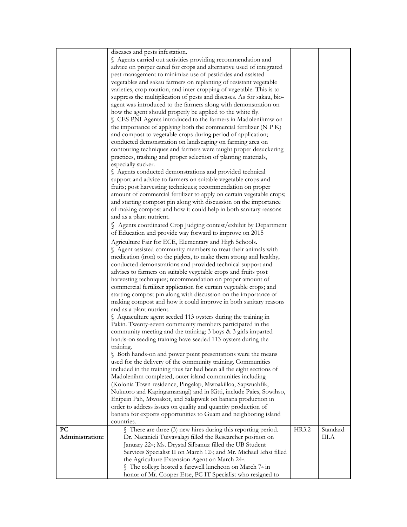|                 | diseases and pests infestation.                                                 |       |          |
|-----------------|---------------------------------------------------------------------------------|-------|----------|
|                 | § Agents carried out activities providing recommendation and                    |       |          |
|                 | advice on proper cared for crops and alternative used of integrated             |       |          |
|                 | pest management to minimize use of pesticides and assisted                      |       |          |
|                 | vegetables and sakau farmers on replanting of resistant vegetable               |       |          |
|                 | varieties, crop rotation, and inter cropping of vegetable. This is to           |       |          |
|                 | suppress the multiplication of pests and diseases. As for sakau, bio-           |       |          |
|                 | agent was introduced to the farmers along with demonstration on                 |       |          |
|                 | how the agent should properly be applied to the white fly.                      |       |          |
|                 | S CES PNI Agents introduced to the farmers in Madolenihmw on                    |       |          |
|                 | the importance of applying both the commercial fertilizer (N P K)               |       |          |
|                 | and compost to vegetable crops during period of application;                    |       |          |
|                 | conducted demonstration on landscaping on farming area on                       |       |          |
|                 | contouring techniques and farmers were taught proper desuckering                |       |          |
|                 | practices, trashing and proper selection of planting materials,                 |       |          |
|                 | especially sucker.                                                              |       |          |
|                 | § Agents conducted demonstrations and provided technical                        |       |          |
|                 | support and advice to farmers on suitable vegetable crops and                   |       |          |
|                 | fruits; post harvesting techniques; recommendation on proper                    |       |          |
|                 | amount of commercial fertilizer to apply on certain vegetable crops;            |       |          |
|                 | and starting compost pin along with discussion on the importance                |       |          |
|                 | of making compost and how it could help in both sanitary reasons                |       |          |
|                 | and as a plant nutrient.                                                        |       |          |
|                 | § Agents coordinated Crop Judging contest/exhibit by Department                 |       |          |
|                 | of Education and provide way forward to improve on 2015                         |       |          |
|                 | Agriculture Fair for ECE, Elementary and High Schools.                          |       |          |
|                 | § Agent assisted community members to treat their animals with                  |       |          |
|                 | medication (iron) to the piglets, to make them strong and healthy,              |       |          |
|                 | conducted demonstrations and provided technical support and                     |       |          |
|                 | advises to farmers on suitable vegetable crops and fruits post                  |       |          |
|                 | harvesting techniques; recommendation on proper amount of                       |       |          |
|                 | commercial fertilizer application for certain vegetable crops; and              |       |          |
|                 | starting compost pin along with discussion on the importance of                 |       |          |
|                 | making compost and how it could improve in both sanitary reasons                |       |          |
|                 | and as a plant nutrient.                                                        |       |          |
|                 | § Aquaculture agent seeded 113 oysters during the training in                   |       |          |
|                 | Pakin. Twenty-seven community members participated in the                       |       |          |
|                 | community meeting and the training; 3 boys & 3 girls imparted                   |       |          |
|                 | hands-on seeding training have seeded 113 oysters during the                    |       |          |
|                 | training.                                                                       |       |          |
|                 | S Both hands-on and power point presentations were the means                    |       |          |
|                 | used for the delivery of the community training. Communities                    |       |          |
|                 | included in the training thus far had been all the eight sections of            |       |          |
|                 | Madolenihm completed, outer island communities including                        |       |          |
|                 | (Kolonia Town residence, Pingelap, Mwoakilloa, Sapwuahfik,                      |       |          |
|                 | Nukuoro and Kapingamarangi) and in Kitti, include Paies, Sowihso,               |       |          |
|                 | Enipein Pah, Mwoakot, and Salapwuk on banana production in                      |       |          |
|                 | order to address issues on quality and quantity production of                   |       |          |
|                 | banana for exports opportunities to Guam and neighboring island<br>countries.   |       |          |
| <b>PC</b>       | $\int$ There are three (3) new hires during this reporting period.              | HR3.2 | Standard |
| Administration: | Dr. Nacanieli Tuivavalagi filled the Researcher position on                     |       | III.A    |
|                 | January 22 <sup>nd</sup> ; Ms. Drystal Silbanuz filled the UB Student           |       |          |
|                 | Services Specialist II on March 12 <sup>th</sup> ; and Mr. Michael Iehsi filled |       |          |
|                 | the Agriculture Extension Agent on March 24 <sup>th</sup> .                     |       |          |
|                 | § The college hosted a farewell luncheon on March 7 <sup>th</sup> in            |       |          |
|                 | honor of Mr. Cooper Etse, PC IT Specialist who resigned to                      |       |          |
|                 |                                                                                 |       |          |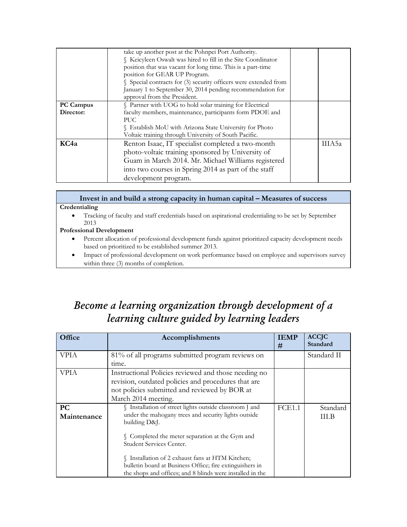|                               | take up another post at the Pohnpei Port Authority.<br>Keicyleen Oswalt was hired to fill in the Site Coordinator<br>position that was vacant for long time. This is a part-time<br>position for GEAR UP Program.<br>Special contracts for (3) security officers were extended from<br>January 1 to September 30, 2014 pending recommendation for<br>approval from the President. |  |        |  |
|-------------------------------|-----------------------------------------------------------------------------------------------------------------------------------------------------------------------------------------------------------------------------------------------------------------------------------------------------------------------------------------------------------------------------------|--|--------|--|
| <b>PC Campus</b><br>Director: | Partner with UOG to hold solar training for Electrical<br>faculty members, maintenance, participants form PDOE and<br>PUC.<br>S Establish MoU with Arizona State University for Photo<br>Voltaic training through University of South Pacific.                                                                                                                                    |  |        |  |
| KC <sub>4a</sub>              | Renton Isaac, IT specialist completed a two-month<br>photo-voltaic training sponsored by University of<br>Guam in March 2014. Mr. Michael Williams registered<br>into two courses in Spring 2014 as part of the staff<br>development program.                                                                                                                                     |  | IIIA5a |  |

## **Invest in and build a strong capacity in human capital – Measures of success Credentialing**

 Tracking of faculty and staff credentials based on aspirational credentialing to be set by September 2013

## **Professional Development**

- Percent allocation of professional development funds against prioritized capacity development needs based on prioritized to be established summer 2013.
- Impact of professional development on work performance based on employee and supervisors survey within three (3) months of completion.

# *Become a learning organization through development of a learning culture guided by learning leaders*

| Office                   | Accomplishments                                                                                                                                                                                                 | <b>IEMP</b><br># | <b>ACCJC</b><br>Standard |
|--------------------------|-----------------------------------------------------------------------------------------------------------------------------------------------------------------------------------------------------------------|------------------|--------------------------|
| <b>VPIA</b>              | 81% of all programs submitted program reviews on                                                                                                                                                                |                  | Standard II              |
| <b>VPIA</b>              | time.<br>Instructional Policies reviewed and those needing no<br>revision, outdated policies and procedures that are<br>not policies submitted and reviewed by BOR at<br>March 2014 meeting.                    |                  |                          |
| <b>PC</b><br>Maintenance | § Installation of street lights outside classroom J and<br>under the mahogany trees and security lights outside<br>building D&J.<br>§ Completed the meter separation at the Gym and<br>Student Services Center. | FCE1.1           | Standard<br><b>III.B</b> |
|                          | § Installation of 2 exhaust fans at HTM Kitchen;<br>bulletin board at Business Office; fire extinguishers in<br>the shops and offices; and 8 blinds were installed in the                                       |                  |                          |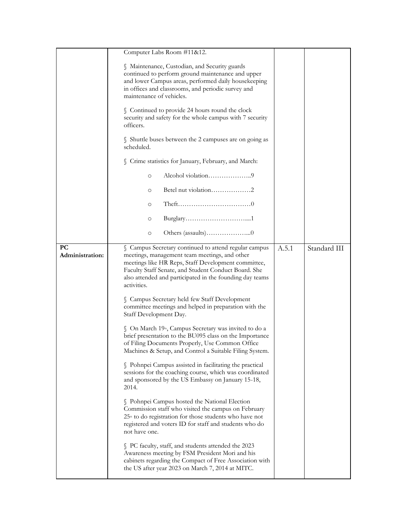|                              | Computer Labs Room #11&12.                                                                                                                                                                                                                                                                       |       |              |
|------------------------------|--------------------------------------------------------------------------------------------------------------------------------------------------------------------------------------------------------------------------------------------------------------------------------------------------|-------|--------------|
|                              | Maintenance, Custodian, and Security guards<br>continued to perform ground maintenance and upper<br>and lower Campus areas, performed daily housekeeping<br>in offices and classrooms, and periodic survey and<br>maintenance of vehicles.                                                       |       |              |
|                              | § Continued to provide 24 hours round the clock<br>security and safety for the whole campus with 7 security<br>officers.                                                                                                                                                                         |       |              |
|                              | S Shuttle buses between the 2 campuses are on going as<br>scheduled.                                                                                                                                                                                                                             |       |              |
|                              | Crime statistics for January, February, and March:                                                                                                                                                                                                                                               |       |              |
|                              | Alcohol violation9<br>$\circ$                                                                                                                                                                                                                                                                    |       |              |
|                              | Betel nut violation2<br>O                                                                                                                                                                                                                                                                        |       |              |
|                              | $\circ$                                                                                                                                                                                                                                                                                          |       |              |
|                              | $\circ$                                                                                                                                                                                                                                                                                          |       |              |
|                              | $\circ$                                                                                                                                                                                                                                                                                          |       |              |
| <b>PC</b><br>Administration: | § Campus Secretary continued to attend regular campus<br>meetings, management team meetings, and other<br>meetings like HR Reps, Staff Development committee,<br>Faculty Staff Senate, and Student Conduct Board. She<br>also attended and participated in the founding day teams<br>activities. | A.5.1 | Standard III |
|                              | S Campus Secretary held few Staff Development<br>committee meetings and helped in preparation with the<br>Staff Development Day.                                                                                                                                                                 |       |              |
|                              | § On March 19 <sup>th</sup> , Campus Secretary was invited to do a<br>brief presentation to the BU095 class on the Importance<br>of Filing Documents Properly, Use Common Office<br>Machines & Setup, and Control a Suitable Filing System.                                                      |       |              |
|                              | § Pohnpei Campus assisted in facilitating the practical<br>sessions for the coaching course, which was coordinated<br>and sponsored by the US Embassy on January 15-18,<br>2014.                                                                                                                 |       |              |
|                              | S Pohnpei Campus hosted the National Election<br>Commission staff who visited the campus on February<br>25 <sup>th</sup> to do registration for those students who have not<br>registered and voters ID for staff and students who do<br>not have one.                                           |       |              |
|                              | S PC faculty, staff, and students attended the 2023<br>Awareness meeting by FSM President Mori and his<br>cabinets regarding the Compact of Free Association with<br>the US after year 2023 on March 7, 2014 at MITC.                                                                            |       |              |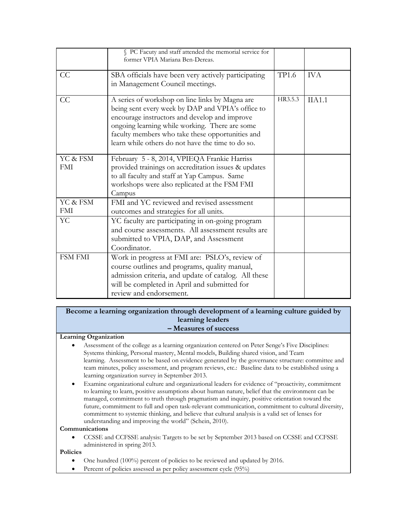|                        | § PC Facuty and staff attended the memorial service for<br>former VPIA Mariana Ben-Dereas.                                                                                                                                                                                                                       |         |            |
|------------------------|------------------------------------------------------------------------------------------------------------------------------------------------------------------------------------------------------------------------------------------------------------------------------------------------------------------|---------|------------|
| CC                     | SBA officials have been very actively participating<br>in Management Council meetings.                                                                                                                                                                                                                           | TP1.6   | <b>IVA</b> |
| CC                     | A series of workshop on line links by Magna are<br>being sent every week by DAP and VPIA's office to<br>encourage instructors and develop and improve<br>ongoing learning while working. There are some<br>faculty members who take these opportunities and<br>learn while others do not have the time to do so. | HR3.5.3 | IIA1.1     |
| YC & FSM<br><b>FMI</b> | February 5 - 8, 2014, VPIEQA Frankie Harriss<br>provided trainings on accreditation issues & updates<br>to all faculty and staff at Yap Campus. Same<br>workshops were also replicated at the FSM FMI<br>Campus                                                                                                  |         |            |
| YC & FSM<br><b>FMI</b> | FMI and YC reviewed and revised assessment<br>outcomes and strategies for all units.                                                                                                                                                                                                                             |         |            |
| <b>YC</b>              | YC faculty are participating in on-going program<br>and course assessments. All assessment results are<br>submitted to VPIA, DAP, and Assessment<br>Coordinator.                                                                                                                                                 |         |            |
| <b>FSM FMI</b>         | Work in progress at FMI are: PSLO's, review of<br>course outlines and programs, quality manual,<br>admission criteria, and update of catalog. All these<br>will be completed in April and submitted for<br>review and endorsement.                                                                               |         |            |

### **Become a learning organization through development of a learning culture guided by learning leaders – Measures of success**

### **Learning Organization**

- Assessment of the college as a learning organization centered on Peter Senge's Five Disciplines: Systems thinking, Personal mastery, Mental models, Building shared vision, and Team learning. Assessment to be based on evidence generated by the governance structure: committee and team minutes, policy assessment, and program reviews, etc.: Baseline data to be established using a learning organization survey in September 2013.
- Examine organizational culture and organizational leaders for evidence of "proactivity, commitment to learning to learn, positive assumptions about human nature, belief that the environment can be managed, commitment to truth through pragmatism and inquiry, positive orientation toward the future, commitment to full and open task-relevant communication, commitment to cultural diversity, commitment to systemic thinking, and believe that cultural analysis is a valid set of lenses for understanding and improving the world" (Schein, 2010).

#### **Communications**

 CCSSE and CCFSSE analysis: Targets to be set by September 2013 based on CCSSE and CCFSSE administered in spring 2013.

### **Policies**

- One hundred (100%) percent of policies to be reviewed and updated by 2016.
- Percent of policies assessed as per policy assessment cycle (95%)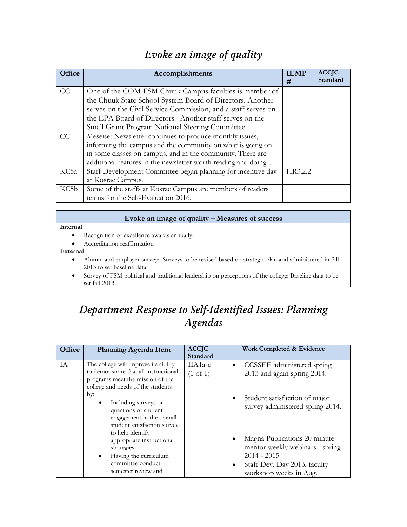|  |  | Evoke an image of quality |
|--|--|---------------------------|
|  |  |                           |

| Office | Accomplishments                                               | <b>IEMP</b><br># | <b>ACCJC</b><br>Standard |
|--------|---------------------------------------------------------------|------------------|--------------------------|
| CC     | One of the COM-FSM Chuuk Campus faculties is member of        |                  |                          |
|        | the Chuuk State School System Board of Directors. Another     |                  |                          |
|        | serves on the Civil Service Commission, and a staff serves on |                  |                          |
|        | the EPA Board of Directors. Another staff serves on the       |                  |                          |
|        | Small Grant Program National Steering Committee.              |                  |                          |
| CC     | Meseiset Newsletter continues to produce monthly issues,      |                  |                          |
|        | informing the campus and the community on what is going on    |                  |                          |
|        | in some classes on campus, and in the community. There are    |                  |                          |
|        | additional features in the newsletter worth reading and doing |                  |                          |
| KC5a   | Staff Development Committee began planning for incentive day  | HR3.2.2          |                          |
|        | at Kosrae Campus.                                             |                  |                          |
| KC5b   | Some of the staffs at Kosrae Campus are members of readers    |                  |                          |
|        | teams for the Self-Evaluation 2016.                           |                  |                          |

## **Evoke an image of quality – Measures of success**

### **Internal**

- Recognition of excellence awards annually.
- Accreditation reaffirmation

#### **External**

- Alumni and employer survey: Surveys to be revised based on strategic plan and administered in fall 2013 to set baseline data.
- Survey of FSM political and traditional leadership on perceptions of the college: Baseline data to be set fall 2013.

# *Department Response to Self-Identified Issues: Planning Agendas*

| Office | Planning Agenda Item                                                                                                                                   | <b>ACCJC</b><br>Standard         | Work Completed & Evidence                                                                                                                               |
|--------|--------------------------------------------------------------------------------------------------------------------------------------------------------|----------------------------------|---------------------------------------------------------------------------------------------------------------------------------------------------------|
| IA     | The college will improve its ability<br>to demonstrate that all instructional<br>programs meet the mission of the<br>college and needs of the students | $IIA1a-c$<br>$(1 \text{ of } 1)$ | • CCSSEE administered spring<br>2013 and again spring 2014.                                                                                             |
|        | by:<br>Including surveys or<br>$\bullet$<br>questions of student<br>engagement in the overall<br>student satisfaction survey<br>to help identify       |                                  | Student satisfaction of major<br>survey administered spring 2014.                                                                                       |
|        | appropriate instructional<br>strategies.<br>Having the curriculum<br>$\bullet$<br>committee conduct<br>semester review and                             |                                  | Magna Publications 20 minute<br>mentor weekly webinars - spring<br>$2014 - 2015$<br>Staff Dev. Day 2013, faculty<br>$\bullet$<br>workshop weeks in Aug. |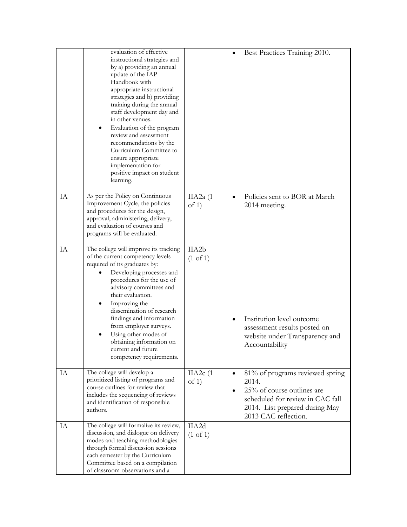|    | evaluation of effective<br>instructional strategies and<br>by a) providing an annual<br>update of the IAP<br>Handbook with<br>appropriate instructional<br>strategies and b) providing<br>training during the annual<br>staff development day and<br>in other venues.<br>Evaluation of the program<br>review and assessment<br>recommendations by the<br>Curriculum Committee to<br>ensure appropriate<br>implementation for<br>positive impact on student<br>learning. |                              | Best Practices Training 2010.                                                                                                                                                     |
|----|-------------------------------------------------------------------------------------------------------------------------------------------------------------------------------------------------------------------------------------------------------------------------------------------------------------------------------------------------------------------------------------------------------------------------------------------------------------------------|------------------------------|-----------------------------------------------------------------------------------------------------------------------------------------------------------------------------------|
| IA | As per the Policy on Continuous<br>Improvement Cycle, the policies<br>and procedures for the design,<br>approval, administering, delivery,<br>and evaluation of courses and<br>programs will be evaluated.                                                                                                                                                                                                                                                              | IIA $2a(1)$<br>of $1)$       | Policies sent to BOR at March<br>$\bullet$<br>2014 meeting.                                                                                                                       |
| IA | The college will improve its tracking<br>of the current competency levels<br>required of its graduates by:<br>Developing processes and<br>procedures for the use of<br>advisory committees and<br>their evaluation.<br>Improving the<br>dissemination of research<br>findings and information<br>from employer surveys.<br>Using other modes of<br>obtaining information on<br>current and future<br>competency requirements.                                           | IIA2b<br>$(1 \text{ of } 1)$ | Institution level outcome<br>assessment results posted on<br>website under Transparency and<br>Accountability                                                                     |
| IA | The college will develop a<br>prioritized listing of programs and<br>course outlines for review that<br>includes the sequencing of reviews<br>and identification of responsible<br>authors.                                                                                                                                                                                                                                                                             | IIA2c(1)<br>of $1)$          | 81% of programs reviewed spring<br>$\bullet$<br>2014.<br>25% of course outlines are<br>scheduled for review in CAC fall<br>2014. List prepared during May<br>2013 CAC reflection. |
| IA | The college will formalize its review,<br>discussion, and dialogue on delivery<br>modes and teaching methodologies<br>through formal discussion sessions<br>each semester by the Curriculum<br>Committee based on a compilation<br>of classroom observations and a                                                                                                                                                                                                      | IIA2d<br>(1 of 1)            |                                                                                                                                                                                   |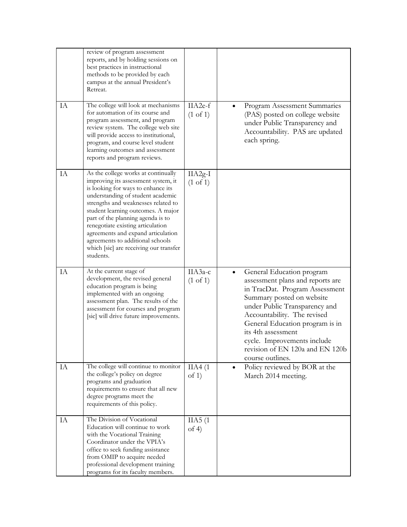|    | review of program assessment<br>reports, and by holding sessions on<br>best practices in instructional<br>methods to be provided by each<br>campus at the annual President's<br>Retreat.                                                                                                                                                                                                                                                      |                                  |                                                                                                                                                                                                                                                                                                                                                          |
|----|-----------------------------------------------------------------------------------------------------------------------------------------------------------------------------------------------------------------------------------------------------------------------------------------------------------------------------------------------------------------------------------------------------------------------------------------------|----------------------------------|----------------------------------------------------------------------------------------------------------------------------------------------------------------------------------------------------------------------------------------------------------------------------------------------------------------------------------------------------------|
| IA | The college will look at mechanisms<br>for automation of its course and<br>program assessment, and program<br>review system. The college web site<br>will provide access to institutional,<br>program, and course level student<br>learning outcomes and assessment<br>reports and program reviews.                                                                                                                                           | IIA2e-f<br>$(1 \text{ of } 1)$   | Program Assessment Summaries<br>(PAS) posted on college website<br>under Public Transparency and<br>Accountability. PAS are updated<br>each spring.                                                                                                                                                                                                      |
| IA | As the college works at continually<br>improving its assessment system, it<br>is looking for ways to enhance its<br>understanding of student academic<br>strengths and weaknesses related to<br>student learning outcomes. A major<br>part of the planning agenda is to<br>renegotiate existing articulation<br>agreements and expand articulation<br>agreements to additional schools<br>which [sic] are receiving our transfer<br>students. | $IIA2g-I$<br>$(1 \text{ of } 1)$ |                                                                                                                                                                                                                                                                                                                                                          |
| IA | At the current stage of<br>development, the revised general<br>education program is being<br>implemented with an ongoing<br>assessment plan. The results of the<br>assessment for courses and program<br>[sic] will drive future improvements.                                                                                                                                                                                                | ПАЗа-с<br>$(1 \text{ of } 1)$    | General Education program<br>$\bullet$<br>assessment plans and reports are<br>in TracDat. Program Assessment<br>Summary posted on website<br>under Public Transparency and<br>Accountability. The revised<br>General Education program is in<br>its 4th assessment<br>cycle. Improvements include<br>revision of EN 120a and EN 120b<br>course outlines. |
| IA | The college will continue to monitor<br>the college's policy on degree<br>programs and graduation<br>requirements to ensure that all new<br>degree programs meet the<br>requirements of this policy.                                                                                                                                                                                                                                          | IIA4(1)<br>of $1$ )              | Policy reviewed by BOR at the<br>$\bullet$<br>March 2014 meeting.                                                                                                                                                                                                                                                                                        |
| IA | The Division of Vocational<br>Education will continue to work<br>with the Vocational Training<br>Coordinator under the VPIA's<br>office to seek funding assistance<br>from OMIP to acquire needed<br>professional development training<br>programs for its faculty members.                                                                                                                                                                   | IIA5(1)<br>of $4$ )              |                                                                                                                                                                                                                                                                                                                                                          |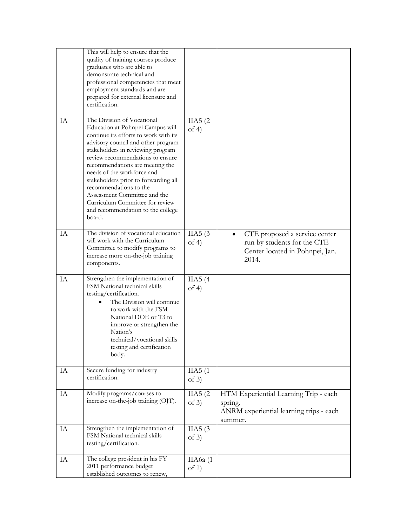|    | This will help to ensure that the<br>quality of training courses produce<br>graduates who are able to<br>demonstrate technical and<br>professional competencies that meet<br>employment standards and are<br>prepared for external licensure and<br>certification.                                                                                                                                                                                                          |                     |                                                                                                                       |
|----|-----------------------------------------------------------------------------------------------------------------------------------------------------------------------------------------------------------------------------------------------------------------------------------------------------------------------------------------------------------------------------------------------------------------------------------------------------------------------------|---------------------|-----------------------------------------------------------------------------------------------------------------------|
| IA | The Division of Vocational<br>Education at Pohnpei Campus will<br>continue its efforts to work with its<br>advisory council and other program<br>stakeholders in reviewing program<br>review recommendations to ensure<br>recommendations are meeting the<br>needs of the workforce and<br>stakeholders prior to forwarding all<br>recommendations to the<br>Assessment Committee and the<br>Curriculum Committee for review<br>and recommendation to the college<br>board. | IIA5(2)<br>of 4)    |                                                                                                                       |
| IA | The division of vocational education<br>will work with the Curriculum<br>Committee to modify programs to<br>increase more on-the-job training<br>components.                                                                                                                                                                                                                                                                                                                | IIA5(3)<br>of $4$ ) | CTE proposed a service center<br>$\bullet$<br>run by students for the CTE<br>Center located in Pohnpei, Jan.<br>2014. |
| IA | Strengthen the implementation of<br>FSM National technical skills<br>testing/certification.<br>The Division will continue<br>to work with the FSM<br>National DOE or T3 to<br>improve or strengthen the<br>Nation's<br>technical/vocational skills<br>testing and certification<br>body.                                                                                                                                                                                    | IIA5(4)<br>of $4$ ) |                                                                                                                       |
| IA | Secure funding for industry<br>certification.                                                                                                                                                                                                                                                                                                                                                                                                                               | IIA5(1)<br>of $3)$  |                                                                                                                       |
| IA | Modify programs/courses to<br>increase on-the-job training (OJT).                                                                                                                                                                                                                                                                                                                                                                                                           | IIA5(2)<br>of $3)$  | HTM Experiential Learning Trip - each<br>spring.<br>ANRM experiential learning trips - each<br>summer.                |
| IA | Strengthen the implementation of<br>FSM National technical skills<br>testing/certification.                                                                                                                                                                                                                                                                                                                                                                                 | IIA5(3)<br>of $3)$  |                                                                                                                       |
| IA | The college president in his FY<br>2011 performance budget<br>established outcomes to renew,                                                                                                                                                                                                                                                                                                                                                                                | IIA6a (1<br>of $1)$ |                                                                                                                       |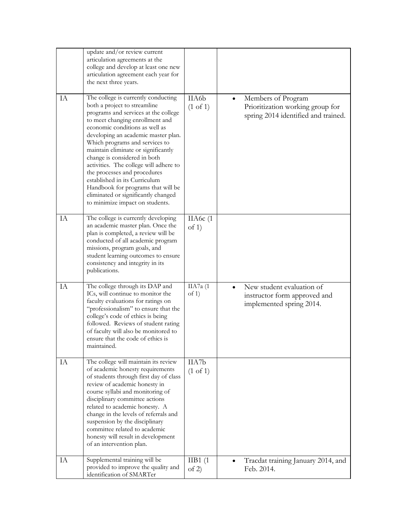|    | update and/or review current<br>articulation agreements at the<br>college and develop at least one new<br>articulation agreement each year for<br>the next three years.                                                                                                                                                                                                                                                                                                                                                                                     |                              |                                                                                                            |
|----|-------------------------------------------------------------------------------------------------------------------------------------------------------------------------------------------------------------------------------------------------------------------------------------------------------------------------------------------------------------------------------------------------------------------------------------------------------------------------------------------------------------------------------------------------------------|------------------------------|------------------------------------------------------------------------------------------------------------|
| IA | The college is currently conducting<br>both a project to streamline<br>programs and services at the college<br>to meet changing enrollment and<br>economic conditions as well as<br>developing an academic master plan.<br>Which programs and services to<br>maintain eliminate or significantly<br>change is considered in both<br>activities. The college will adhere to<br>the processes and procedures<br>established in its Curriculum<br>Handbook for programs that will be<br>eliminated or significantly changed<br>to minimize impact on students. | IIA6b<br>$(1 \text{ of } 1)$ | Members of Program<br>$\bullet$<br>Prioritization working group for<br>spring 2014 identified and trained. |
| IA | The college is currently developing<br>an academic master plan. Once the<br>plan is completed, a review will be<br>conducted of all academic program<br>missions, program goals, and<br>student learning outcomes to ensure<br>consistency and integrity in its<br>publications.                                                                                                                                                                                                                                                                            | IIA6 $c(1)$<br>of $1)$       |                                                                                                            |
| IA | The college through its DAP and<br>ICs, will continue to monitor the<br>faculty evaluations for ratings on<br>"professionalism" to ensure that the<br>college's code of ethics is being<br>followed. Reviews of student rating<br>of faculty will also be monitored to<br>ensure that the code of ethics is<br>maintained.                                                                                                                                                                                                                                  | IIA7a (1<br>of $1$ )         | New student evaluation of<br>instructor form approved and<br>implemented spring 2014.                      |
| IA | The college will maintain its review<br>of academic honesty requirements<br>of students through first day of class<br>review of academic honesty in<br>course syllabi and monitoring of<br>disciplinary committee actions<br>related to academic honesty. A<br>change in the levels of referrals and<br>suspension by the disciplinary<br>committee related to academic<br>honesty will result in development<br>of an intervention plan.                                                                                                                   | IIA7b<br>$(1 \text{ of } 1)$ |                                                                                                            |
| IA | Supplemental training will be<br>provided to improve the quality and<br>identification of SMARTer                                                                                                                                                                                                                                                                                                                                                                                                                                                           | IIB1(1)<br>of 2)             | Tracdat training January 2014, and<br>$\bullet$<br>Feb. 2014.                                              |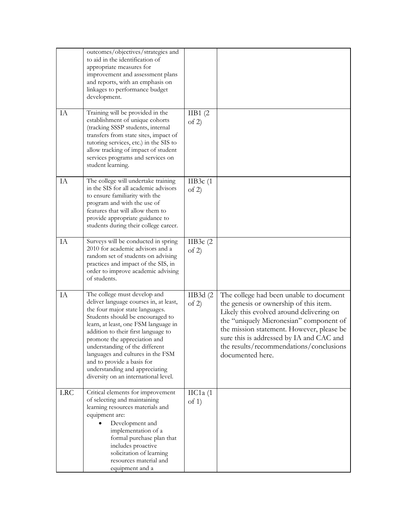|            | outcomes/objectives/strategies and<br>to aid in the identification of<br>appropriate measures for<br>improvement and assessment plans<br>and reports, with an emphasis on<br>linkages to performance budget<br>development.                                                                                                                                                                                                                 |                            |                                                                                                                                                                                                                                                                                                                                  |
|------------|---------------------------------------------------------------------------------------------------------------------------------------------------------------------------------------------------------------------------------------------------------------------------------------------------------------------------------------------------------------------------------------------------------------------------------------------|----------------------------|----------------------------------------------------------------------------------------------------------------------------------------------------------------------------------------------------------------------------------------------------------------------------------------------------------------------------------|
| IA         | Training will be provided in the<br>establishment of unique cohorts<br>(tracking SSSP students, internal<br>transfers from state sites, impact of<br>tutoring services, etc.) in the SIS to<br>allow tracking of impact of student<br>services programs and services on<br>student learning.                                                                                                                                                | IIB1(2)<br>of 2)           |                                                                                                                                                                                                                                                                                                                                  |
| IA         | The college will undertake training<br>in the SIS for all academic advisors<br>to ensure familiarity with the<br>program and with the use of<br>features that will allow them to<br>provide appropriate guidance to<br>students during their college career.                                                                                                                                                                                | IIB $3c(1)$<br>of $2)$     |                                                                                                                                                                                                                                                                                                                                  |
| IA         | Surveys will be conducted in spring<br>2010 for academic advisors and a<br>random set of students on advising<br>practices and impact of the SIS, in<br>order to improve academic advising<br>of students.                                                                                                                                                                                                                                  | IIB3 $c(2)$<br>of 2)       |                                                                                                                                                                                                                                                                                                                                  |
| IA         | The college must develop and<br>deliver language courses in, at least,<br>the four major state languages.<br>Students should be encouraged to<br>learn, at least, one FSM language in<br>addition to their first language to<br>promote the appreciation and<br>understanding of the different<br>languages and cultures in the FSM<br>and to provide a basis for<br>understanding and appreciating<br>diversity on an international level. | IIB3d(2)<br>of 2)          | The college had been unable to document<br>the genesis or ownership of this item.<br>Likely this evolved around delivering on<br>the "uniquely Micronesian" component of<br>the mission statement. However, please be<br>sure this is addressed by IA and CAC and<br>the results/recommendations/conclusions<br>documented here. |
| <b>LRC</b> | Critical elements for improvement<br>of selecting and maintaining<br>learning resources materials and<br>equipment are:<br>Development and<br>implementation of a<br>formal purchase plan that<br>includes proactive<br>solicitation of learning<br>resources material and<br>equipment and a                                                                                                                                               | $\text{IIC1a}$ (1<br>of 1) |                                                                                                                                                                                                                                                                                                                                  |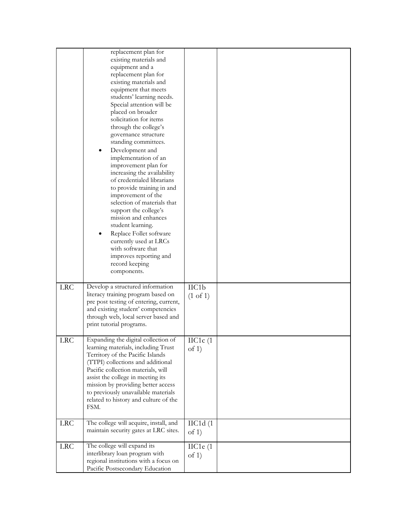|            | replacement plan for<br>existing materials and<br>equipment and a<br>replacement plan for<br>existing materials and<br>equipment that meets<br>students' learning needs.<br>Special attention will be<br>placed on broader<br>solicitation for items<br>through the college's<br>governance structure<br>standing committees.<br>Development and<br>implementation of an<br>improvement plan for<br>increasing the availability<br>of credentialed librarians<br>to provide training in and<br>improvement of the<br>selection of materials that<br>support the college's<br>mission and enhances<br>student learning.<br>Replace Follet software<br>$\bullet$<br>currently used at LRCs<br>with software that<br>improves reporting and<br>record keeping<br>components. |                                       |  |
|------------|---------------------------------------------------------------------------------------------------------------------------------------------------------------------------------------------------------------------------------------------------------------------------------------------------------------------------------------------------------------------------------------------------------------------------------------------------------------------------------------------------------------------------------------------------------------------------------------------------------------------------------------------------------------------------------------------------------------------------------------------------------------------------|---------------------------------------|--|
| LRC        | Develop a structured information<br>literacy training program based on<br>pre post testing of entering, current,<br>and existing student' competencies<br>through web, local server based and<br>print tutorial programs.                                                                                                                                                                                                                                                                                                                                                                                                                                                                                                                                                 | $\text{IIC1b}$<br>$(1 \text{ of } 1)$ |  |
| <b>LRC</b> | Expanding the digital collection of<br>learning materials, including Trust<br>Territory of the Pacific Islands<br>(TTPI) collections and additional<br>Pacific collection materials, will<br>assist the college in meeting its<br>mission by providing better access<br>to previously unavailable materials<br>related to history and culture of the<br>FSM.                                                                                                                                                                                                                                                                                                                                                                                                              | $\text{IIC1c}$ (1<br>of $1)$          |  |
| <b>LRC</b> | The college will acquire, install, and<br>maintain security gates at LRC sites.                                                                                                                                                                                                                                                                                                                                                                                                                                                                                                                                                                                                                                                                                           | $\text{IIC1d}(1)$<br>of 1)            |  |
| <b>LRC</b> | The college will expand its<br>interlibrary loan program with<br>regional institutions with a focus on<br>Pacific Postsecondary Education                                                                                                                                                                                                                                                                                                                                                                                                                                                                                                                                                                                                                                 | $\text{IIC1e}$ (1<br>of $1)$          |  |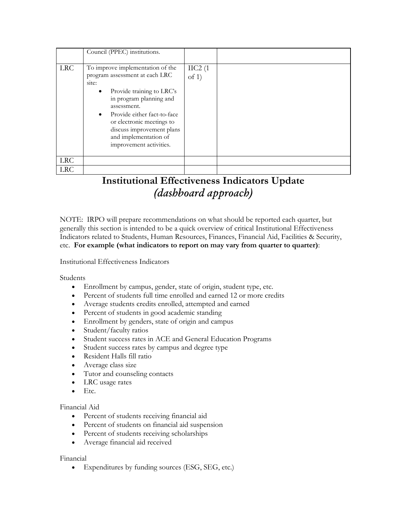|            | Council (PPEC) institutions.                                                                                                                                                                                                                                                                                              |                             |  |
|------------|---------------------------------------------------------------------------------------------------------------------------------------------------------------------------------------------------------------------------------------------------------------------------------------------------------------------------|-----------------------------|--|
| <b>LRC</b> | To improve implementation of the<br>program assessment at each LRC<br>site:<br>Provide training to LRC's<br>$\bullet$<br>in program planning and<br>assessment.<br>Provide either fact-to-face<br>$\bullet$<br>or electronic meetings to<br>discuss improvement plans<br>and implementation of<br>improvement activities. | $\text{IIC2}$ (1<br>of $1)$ |  |
| <b>LRC</b> |                                                                                                                                                                                                                                                                                                                           |                             |  |
| <b>LRC</b> |                                                                                                                                                                                                                                                                                                                           |                             |  |

# **Institutional Effectiveness Indicators Update** *(dashboard approach)*

NOTE: IRPO will prepare recommendations on what should be reported each quarter, but generally this section is intended to be a quick overview of critical Institutional Effectiveness Indicators related to Students, Human Resources, Finances, Financial Aid, Facilities & Security, etc. **For example (what indicators to report on may vary from quarter to quarter)**:

Institutional Effectiveness Indicators

Students

- Enrollment by campus, gender, state of origin, student type, etc.
- Percent of students full time enrolled and earned 12 or more credits
- Average students credits enrolled, attempted and earned
- Percent of students in good academic standing
- Enrollment by genders, state of origin and campus
- Student/faculty ratios
- Student success rates in ACE and General Education Programs
- Student success rates by campus and degree type
- Resident Halls fill ratio
- Average class size
- Tutor and counseling contacts
- LRC usage rates
- $\bullet$  Etc.

## Financial Aid

- Percent of students receiving financial aid
- Percent of students on financial aid suspension
- Percent of students receiving scholarships
- Average financial aid received

## Financial

Expenditures by funding sources (ESG, SEG, etc.)